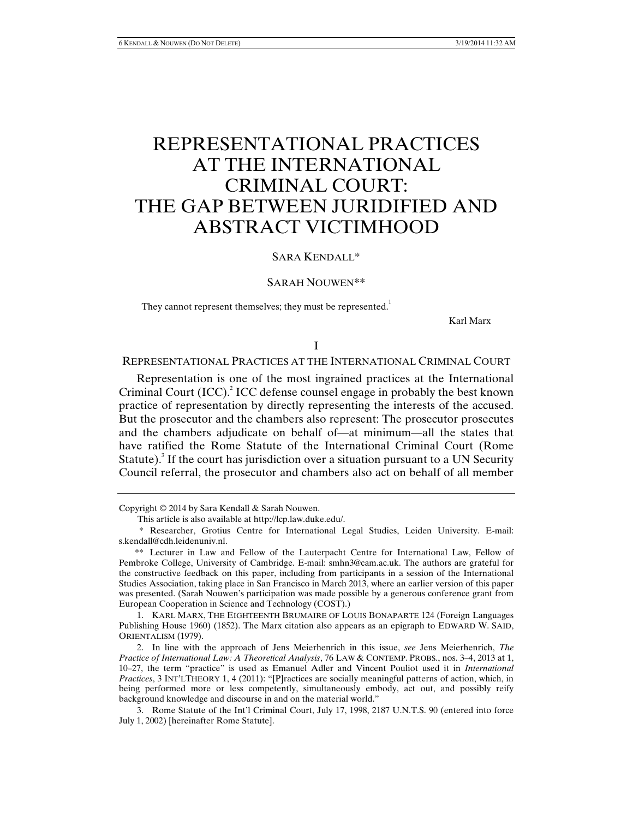# REPRESENTATIONAL PRACTICES AT THE INTERNATIONAL CRIMINAL COURT: THE GAP BETWEEN JURIDIFIED AND ABSTRACT VICTIMHOOD

### SARA KENDALL\*

## SARAH NOUWEN\*\*

They cannot represent themselves; they must be represented.<sup>1</sup>

Karl Marx

#### I

REPRESENTATIONAL PRACTICES AT THE INTERNATIONAL CRIMINAL COURT

Representation is one of the most ingrained practices at the International Criminal Court  $(ICC)$ .<sup>2</sup> ICC defense counsel engage in probably the best known practice of representation by directly representing the interests of the accused. But the prosecutor and the chambers also represent: The prosecutor prosecutes and the chambers adjudicate on behalf of—at minimum—all the states that have ratified the Rome Statute of the International Criminal Court (Rome Statute).<sup>3</sup> If the court has jurisdiction over a situation pursuant to a UN Security Council referral, the prosecutor and chambers also act on behalf of all member

Copyright © 2014 by Sara Kendall & Sarah Nouwen.

This article is also available at http://lcp.law.duke.edu/.

 1. KARL MARX, THE EIGHTEENTH BRUMAIRE OF LOUIS BONAPARTE 124 (Foreign Languages Publishing House 1960) (1852). The Marx citation also appears as an epigraph to EDWARD W. SAID, ORIENTALISM (1979).

 <sup>\*</sup> Researcher, Grotius Centre for International Legal Studies, Leiden University. E-mail: s.kendall@cdh.leidenuniv.nl.

 <sup>\*\*</sup> Lecturer in Law and Fellow of the Lauterpacht Centre for International Law, Fellow of Pembroke College, University of Cambridge. E-mail: smhn3@cam.ac.uk. The authors are grateful for the constructive feedback on this paper, including from participants in a session of the International Studies Association, taking place in San Francisco in March 2013, where an earlier version of this paper was presented. (Sarah Nouwen's participation was made possible by a generous conference grant from European Cooperation in Science and Technology (COST).)

 <sup>2.</sup> In line with the approach of Jens Meierhenrich in this issue, *see* Jens Meierhenrich, *The Practice of International Law: A Theoretical Analysis*, 76 LAW & CONTEMP. PROBS., nos. 3–4, 2013 at 1, 10–27, the term "practice" is used as Emanuel Adler and Vincent Pouliot used it in *International Practices*, 3 INT'LTHEORY 1, 4 (2011): "[P]ractices are socially meaningful patterns of action, which, in being performed more or less competently, simultaneously embody, act out, and possibly reify background knowledge and discourse in and on the material world."

 <sup>3.</sup> Rome Statute of the Int'l Criminal Court, July 17, 1998, 2187 U.N.T.S. 90 (entered into force July 1, 2002) [hereinafter Rome Statute].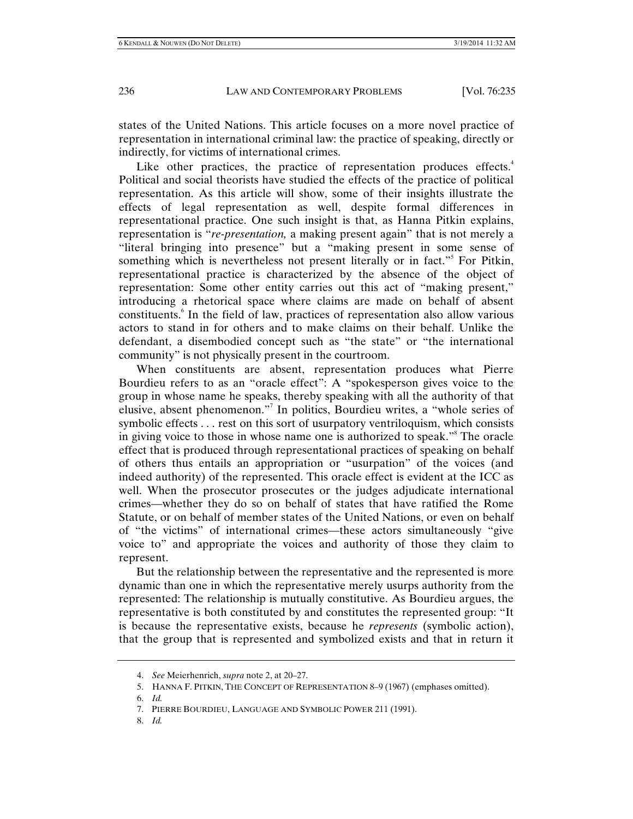states of the United Nations. This article focuses on a more novel practice of representation in international criminal law: the practice of speaking, directly or indirectly, for victims of international crimes.

Like other practices, the practice of representation produces effects.<sup>4</sup> Political and social theorists have studied the effects of the practice of political representation. As this article will show, some of their insights illustrate the effects of legal representation as well, despite formal differences in representational practice. One such insight is that, as Hanna Pitkin explains, representation is "*re-presentation,* a making present again" that is not merely a "literal bringing into presence" but a "making present in some sense of something which is nevertheless not present literally or in fact."<sup>5</sup> For Pitkin, representational practice is characterized by the absence of the object of representation: Some other entity carries out this act of "making present," introducing a rhetorical space where claims are made on behalf of absent constituents.<sup>6</sup> In the field of law, practices of representation also allow various actors to stand in for others and to make claims on their behalf. Unlike the defendant, a disembodied concept such as "the state" or "the international community" is not physically present in the courtroom.

When constituents are absent, representation produces what Pierre Bourdieu refers to as an "oracle effect": A "spokesperson gives voice to the group in whose name he speaks, thereby speaking with all the authority of that elusive, absent phenomenon."7 In politics, Bourdieu writes, a "whole series of symbolic effects . . . rest on this sort of usurpatory ventriloquism, which consists in giving voice to those in whose name one is authorized to speak."<sup>8</sup> The oracle effect that is produced through representational practices of speaking on behalf of others thus entails an appropriation or "usurpation" of the voices (and indeed authority) of the represented. This oracle effect is evident at the ICC as well. When the prosecutor prosecutes or the judges adjudicate international crimes—whether they do so on behalf of states that have ratified the Rome Statute, or on behalf of member states of the United Nations, or even on behalf of "the victims" of international crimes—these actors simultaneously "give voice to" and appropriate the voices and authority of those they claim to represent.

But the relationship between the representative and the represented is more dynamic than one in which the representative merely usurps authority from the represented: The relationship is mutually constitutive. As Bourdieu argues, the representative is both constituted by and constitutes the represented group: "It is because the representative exists, because he *represents* (symbolic action), that the group that is represented and symbolized exists and that in return it

8. *Id.*

 <sup>4.</sup> *See* Meierhenrich, *supra* note 2, at 20–27.

 <sup>5.</sup> HANNA F. PITKIN, THE CONCEPT OF REPRESENTATION 8–9 (1967) (emphases omitted).

 <sup>6.</sup> *Id.*

 <sup>7.</sup> PIERRE BOURDIEU, LANGUAGE AND SYMBOLIC POWER 211 (1991).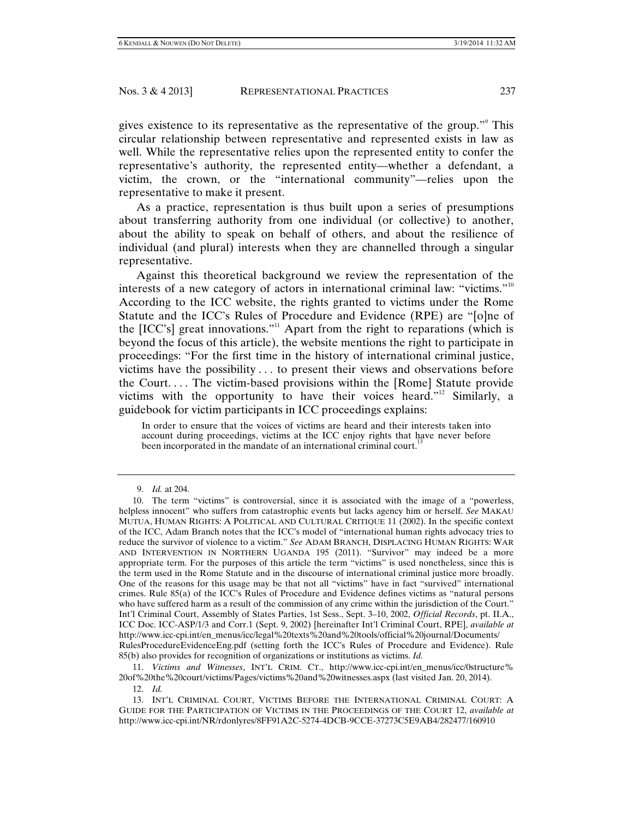gives existence to its representative as the representative of the group."<sup>9</sup> This circular relationship between representative and represented exists in law as well. While the representative relies upon the represented entity to confer the representative's authority, the represented entity—whether a defendant, a victim, the crown, or the "international community"—relies upon the representative to make it present.

As a practice, representation is thus built upon a series of presumptions about transferring authority from one individual (or collective) to another, about the ability to speak on behalf of others, and about the resilience of individual (and plural) interests when they are channelled through a singular representative.

Against this theoretical background we review the representation of the interests of a new category of actors in international criminal law: "victims."<sup>10</sup> According to the ICC website, the rights granted to victims under the Rome Statute and the ICC's Rules of Procedure and Evidence (RPE) are "[o]ne of the [ICC's] great innovations."11 Apart from the right to reparations (which is beyond the focus of this article), the website mentions the right to participate in proceedings: "For the first time in the history of international criminal justice, victims have the possibility . . . to present their views and observations before the Court. . . . The victim-based provisions within the [Rome] Statute provide victims with the opportunity to have their voices heard."<sup>12</sup> Similarly, a guidebook for victim participants in ICC proceedings explains:

In order to ensure that the voices of victims are heard and their interests taken into account during proceedings, victims at the ICC enjoy rights that have never before been incorporated in the mandate of an international criminal court.<sup>1</sup>

 11. *Victims and Witnesses*, INT'L CRIM. CT., http://www.icc-cpi.int/en\_menus/icc/0structure% 20of%20the%20court/victims/Pages/victims%20and%20witnesses.aspx (last visited Jan. 20, 2014).

12. *Id.*

 13. INT'L CRIMINAL COURT, VICTIMS BEFORE THE INTERNATIONAL CRIMINAL COURT: A GUIDE FOR THE PARTICIPATION OF VICTIMS IN THE PROCEEDINGS OF THE COURT 12, *available at*  http://www.icc-cpi.int/NR/rdonlyres/8FF91A2C-5274-4DCB-9CCE-37273C5E9AB4/282477/160910

 <sup>9.</sup> *Id.* at 204.

 <sup>10.</sup> The term "victims" is controversial, since it is associated with the image of a "powerless, helpless innocent" who suffers from catastrophic events but lacks agency him or herself. *See* MAKAU MUTUA, HUMAN RIGHTS: A POLITICAL AND CULTURAL CRITIQUE 11 (2002). In the specific context of the ICC, Adam Branch notes that the ICC's model of "international human rights advocacy tries to reduce the survivor of violence to a victim." *See* ADAM BRANCH, DISPLACING HUMAN RIGHTS: WAR AND INTERVENTION IN NORTHERN UGANDA 195 (2011). "Survivor" may indeed be a more appropriate term. For the purposes of this article the term "victims" is used nonetheless, since this is the term used in the Rome Statute and in the discourse of international criminal justice more broadly. One of the reasons for this usage may be that not all "victims" have in fact "survived" international crimes. Rule 85(a) of the ICC's Rules of Procedure and Evidence defines victims as "natural persons who have suffered harm as a result of the commission of any crime within the jurisdiction of the Court." Int'l Criminal Court, Assembly of States Parties, 1st Sess., Sept. 3–10, 2002, *Official Records*, pt. II.A., ICC Doc. ICC-ASP/1/3 and Corr.1 (Sept. 9, 2002) [hereinafter Int'l Criminal Court, RPE], *available at* http://www.icc-cpi.int/en\_menus/icc/legal%20texts%20and%20tools/official%20journal/Documents/ RulesProcedureEvidenceEng.pdf (setting forth the ICC's Rules of Procedure and Evidence). Rule 85(b) also provides for recognition of organizations or institutions as victims. *Id.*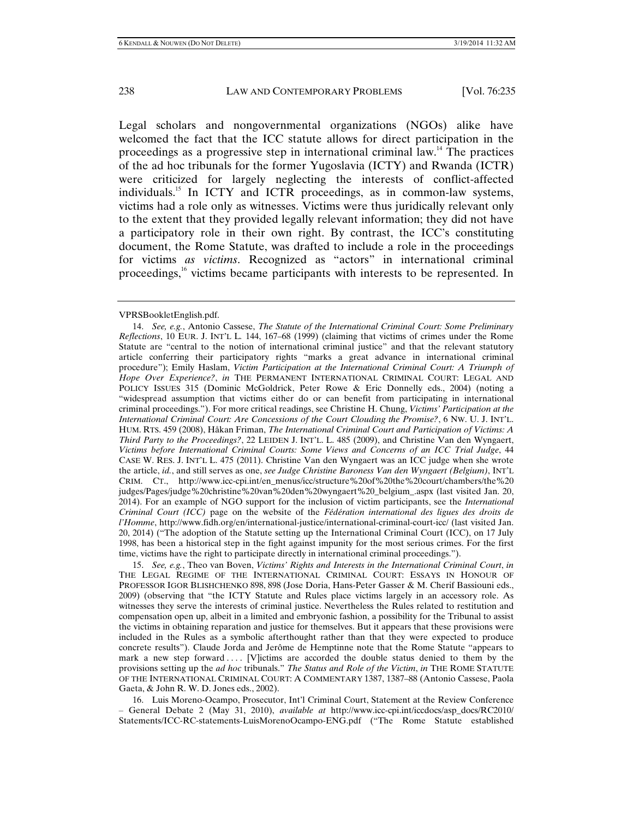Legal scholars and nongovernmental organizations (NGOs) alike have welcomed the fact that the ICC statute allows for direct participation in the proceedings as a progressive step in international criminal law.14 The practices of the ad hoc tribunals for the former Yugoslavia (ICTY) and Rwanda (ICTR) were criticized for largely neglecting the interests of conflict-affected individuals.15 In ICTY and ICTR proceedings, as in common-law systems, victims had a role only as witnesses. Victims were thus juridically relevant only to the extent that they provided legally relevant information; they did not have a participatory role in their own right. By contrast, the ICC's constituting document, the Rome Statute, was drafted to include a role in the proceedings for victims *as victims*. Recognized as "actors" in international criminal proceedings,<sup>16</sup> victims became participants with interests to be represented. In

 15. *See, e.g.*, Theo van Boven, *Victims' Rights and Interests in the International Criminal Court*, *in* THE LEGAL REGIME OF THE INTERNATIONAL CRIMINAL COURT: ESSAYS IN HONOUR OF PROFESSOR IGOR BLISHCHENKO 898, 898 (Jose Doria, Hans-Peter Gasser & M. Cherif Bassiouni eds., 2009) (observing that "the ICTY Statute and Rules place victims largely in an accessory role. As witnesses they serve the interests of criminal justice. Nevertheless the Rules related to restitution and compensation open up, albeit in a limited and embryonic fashion, a possibility for the Tribunal to assist the victims in obtaining reparation and justice for themselves. But it appears that these provisions were included in the Rules as a symbolic afterthought rather than that they were expected to produce concrete results"). Claude Jorda and Jerôme de Hemptinne note that the Rome Statute "appears to mark a new step forward .... [V]ictims are accorded the double status denied to them by the provisions setting up the *ad hoc* tribunals." *The Status and Role of the Victim*, *in* THE ROME STATUTE OF THE INTERNATIONAL CRIMINAL COURT: A COMMENTARY 1387, 1387–88 (Antonio Cassese, Paola Gaeta, & John R. W. D. Jones eds., 2002).

 16. Luis Moreno-Ocampo, Prosecutor, Int'l Criminal Court, Statement at the Review Conference – General Debate 2 (May 31, 2010), *available at* http://www.icc-cpi.int/iccdocs/asp\_docs/RC2010/ Statements/ICC-RC-statements-LuisMorenoOcampo-ENG.pdf ("The Rome Statute established

VPRSBookletEnglish.pdf.

 <sup>14.</sup> *See, e.g.*, Antonio Cassese, *The Statute of the International Criminal Court: Some Preliminary Reflections*, 10 EUR. J. INT'L L*.* 144, 167–68 (1999) (claiming that victims of crimes under the Rome Statute are "central to the notion of international criminal justice" and that the relevant statutory article conferring their participatory rights "marks a great advance in international criminal procedure"); Emily Haslam, *Victim Participation at the International Criminal Court: A Triumph of Hope Over Experience?*, *in* THE PERMANENT INTERNATIONAL CRIMINAL COURT: LEGAL AND POLICY ISSUES 315 (Dominic McGoldrick, Peter Rowe & Eric Donnelly eds., 2004) (noting a "widespread assumption that victims either do or can benefit from participating in international criminal proceedings."). For more critical readings, see Christine H. Chung, *Victims' Participation at the International Criminal Court: Are Concessions of the Court Clouding the Promise?*, 6 NW. U. J. INT'L. HUM. RTS. 459 (2008), Håkan Friman, *The International Criminal Court and Participation of Victims: A Third Party to the Proceedings?*, 22 LEIDEN J. INT'L. L. 485 (2009), and Christine Van den Wyngaert, *Victims before International Criminal Courts: Some Views and Concerns of an ICC Trial Judge*, 44 CASE W. RES. J. INT'L L. 475 (2011). Christine Van den Wyngaert was an ICC judge when she wrote the article, *id.*, and still serves as one, *see Judge Christine Baroness Van den Wyngaert (Belgium)*, INT'L CRIM. CT., http://www.icc-cpi.int/en\_menus/icc/structure%20of%20the%20court/chambers/the%20 judges/Pages/judge%20christine%20van%20den%20wyngaert%20\_belgium\_.aspx (last visited Jan. 20, 2014). For an example of NGO support for the inclusion of victim participants, see the *International Criminal Court (ICC)* page on the website of the *Fédération international des ligues des droits de l'Homme*, http://www.fidh.org/en/international-justice/international-criminal-court-icc/ (last visited Jan. 20, 2014) ("The adoption of the Statute setting up the International Criminal Court (ICC), on 17 July 1998, has been a historical step in the fight against impunity for the most serious crimes. For the first time, victims have the right to participate directly in international criminal proceedings.").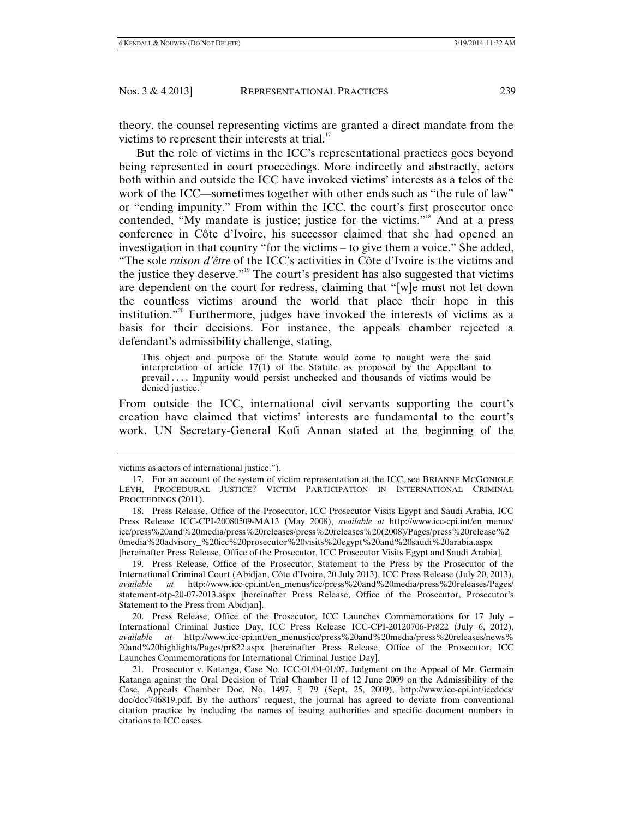theory, the counsel representing victims are granted a direct mandate from the victims to represent their interests at trial. $17$ 

But the role of victims in the ICC's representational practices goes beyond being represented in court proceedings. More indirectly and abstractly, actors both within and outside the ICC have invoked victims' interests as a telos of the work of the ICC—sometimes together with other ends such as "the rule of law" or "ending impunity." From within the ICC, the court's first prosecutor once contended, "My mandate is justice; justice for the victims."18 And at a press conference in Côte d'Ivoire, his successor claimed that she had opened an investigation in that country "for the victims – to give them a voice." She added, "The sole *raison d'être* of the ICC's activities in Côte d'Ivoire is the victims and the justice they deserve."<sup>19</sup> The court's president has also suggested that victims are dependent on the court for redress, claiming that "[w]e must not let down the countless victims around the world that place their hope in this institution."<sup>20</sup> Furthermore, judges have invoked the interests of victims as a basis for their decisions. For instance, the appeals chamber rejected a defendant's admissibility challenge, stating,

This object and purpose of the Statute would come to naught were the said interpretation of article 17(1) of the Statute as proposed by the Appellant to prevail . . . . Impunity would persist unchecked and thousands of victims would be denied justice.<sup>2</sup>

From outside the ICC, international civil servants supporting the court's creation have claimed that victims' interests are fundamental to the court's work. UN Secretary-General Kofi Annan stated at the beginning of the

victims as actors of international justice.").

 <sup>17.</sup> For an account of the system of victim representation at the ICC, see BRIANNE MCGONIGLE LEYH, PROCEDURAL JUSTICE? VICTIM PARTICIPATION IN INTERNATIONAL CRIMINAL PROCEEDINGS (2011).

 <sup>18.</sup> Press Release, Office of the Prosecutor, ICC Prosecutor Visits Egypt and Saudi Arabia, ICC Press Release ICC-CPI-20080509-MA13 (May 2008), *available at* http://www.icc-cpi.int/en\_menus/ icc/press%20and%20media/press%20releases/press%20releases%20(2008)/Pages/press%20release%2 0media%20advisory\_%20icc%20prosecutor%20visits%20egypt%20and%20saudi%20arabia.aspx [hereinafter Press Release, Office of the Prosecutor, ICC Prosecutor Visits Egypt and Saudi Arabia].

 <sup>19.</sup> Press Release, Office of the Prosecutor, Statement to the Press by the Prosecutor of the International Criminal Court (Abidjan, Côte d'Ivoire, 20 July 2013), ICC Press Release (July 20, 2013), *available at* http://www.icc-cpi.int/en\_menus/icc/press%20and%20media/press%20releases/Pages/ statement-otp-20-07-2013.aspx [hereinafter Press Release, Office of the Prosecutor, Prosecutor's Statement to the Press from Abidjan].

 <sup>20.</sup> Press Release, Office of the Prosecutor, ICC Launches Commemorations for 17 July – International Criminal Justice Day, ICC Press Release ICC-CPI-20120706-Pr822 (July 6, 2012), *available at* http://www.icc-cpi.int/en\_menus/icc/press%20and%20media/press%20releases/news% 20and%20highlights/Pages/pr822.aspx [hereinafter Press Release, Office of the Prosecutor, ICC Launches Commemorations for International Criminal Justice Day].

 <sup>21.</sup> Prosecutor v. Katanga, Case No. ICC-01/04-01/07, Judgment on the Appeal of Mr. Germain Katanga against the Oral Decision of Trial Chamber II of 12 June 2009 on the Admissibility of the Case, Appeals Chamber Doc. No. 1497, ¶ 79 (Sept. 25, 2009), http://www.icc-cpi.int/iccdocs/ doc/doc746819.pdf. By the authors' request, the journal has agreed to deviate from conventional citation practice by including the names of issuing authorities and specific document numbers in citations to ICC cases.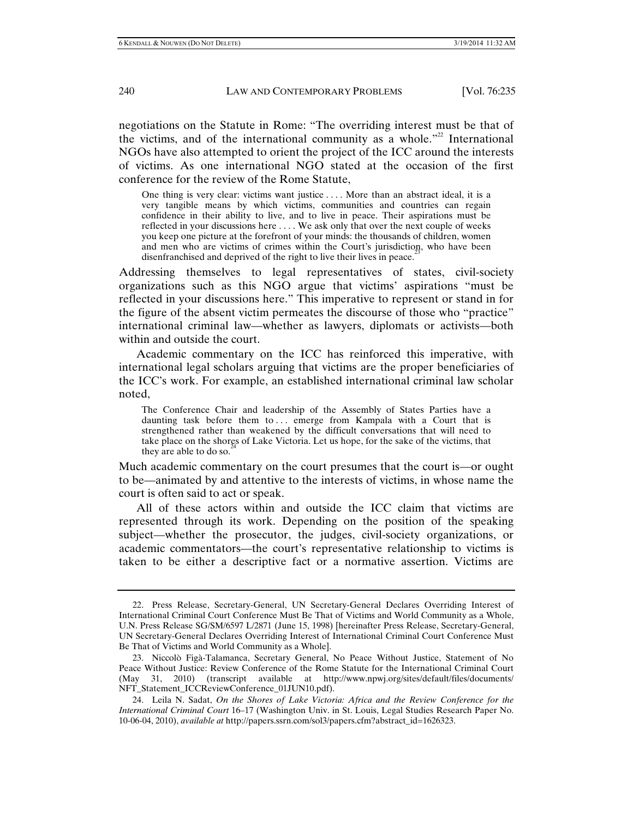negotiations on the Statute in Rome: "The overriding interest must be that of the victims, and of the international community as a whole."<sup>22</sup> International NGOs have also attempted to orient the project of the ICC around the interests of victims. As one international NGO stated at the occasion of the first conference for the review of the Rome Statute,

One thing is very clear: victims want justice . . . . More than an abstract ideal, it is a very tangible means by which victims, communities and countries can regain confidence in their ability to live, and to live in peace. Their aspirations must be reflected in your discussions here . . . . We ask only that over the next couple of weeks you keep one picture at the forefront of your minds: the thousands of children, women and men who are victims of crimes within the Court's jurisdiction, who have been disenfranchised and deprived of the right to live their lives in peace.<sup>2</sup>

Addressing themselves to legal representatives of states, civil-society organizations such as this NGO argue that victims' aspirations "must be reflected in your discussions here." This imperative to represent or stand in for the figure of the absent victim permeates the discourse of those who "practice" international criminal law—whether as lawyers, diplomats or activists—both within and outside the court.

Academic commentary on the ICC has reinforced this imperative, with international legal scholars arguing that victims are the proper beneficiaries of the ICC's work. For example, an established international criminal law scholar noted,

The Conference Chair and leadership of the Assembly of States Parties have a daunting task before them to  $\dots$  emerge from Kampala with a Court that is strengthened rather than weakened by the difficult conversations that will need to take place on the shores of Lake Victoria. Let us hope, for the sake of the victims, that they are able to do so.

Much academic commentary on the court presumes that the court is—or ought to be—animated by and attentive to the interests of victims, in whose name the court is often said to act or speak.

All of these actors within and outside the ICC claim that victims are represented through its work. Depending on the position of the speaking subject—whether the prosecutor, the judges, civil-society organizations, or academic commentators—the court's representative relationship to victims is taken to be either a descriptive fact or a normative assertion. Victims are

 <sup>22.</sup> Press Release, Secretary-General, UN Secretary-General Declares Overriding Interest of International Criminal Court Conference Must Be That of Victims and World Community as a Whole, U.N. Press Release SG/SM/6597 L/2871 (June 15, 1998) [hereinafter Press Release, Secretary-General, UN Secretary-General Declares Overriding Interest of International Criminal Court Conference Must Be That of Victims and World Community as a Whole].

 <sup>23.</sup> Niccolò Figà-Talamanca, Secretary General, No Peace Without Justice, Statement of No Peace Without Justice: Review Conference of the Rome Statute for the International Criminal Court (May 31, 2010) (transcript available at http://www.npwj.org/sites/default/files/documents/ NFT\_Statement\_ICCReviewConference\_01JUN10.pdf).

 <sup>24.</sup> Leila N. Sadat, *On the Shores of Lake Victoria: Africa and the Review Conference for the International Criminal Court* 16–17 (Washington Univ. in St. Louis, Legal Studies Research Paper No. 10-06-04, 2010), *available at* http://papers.ssrn.com/sol3/papers.cfm?abstract\_id=1626323.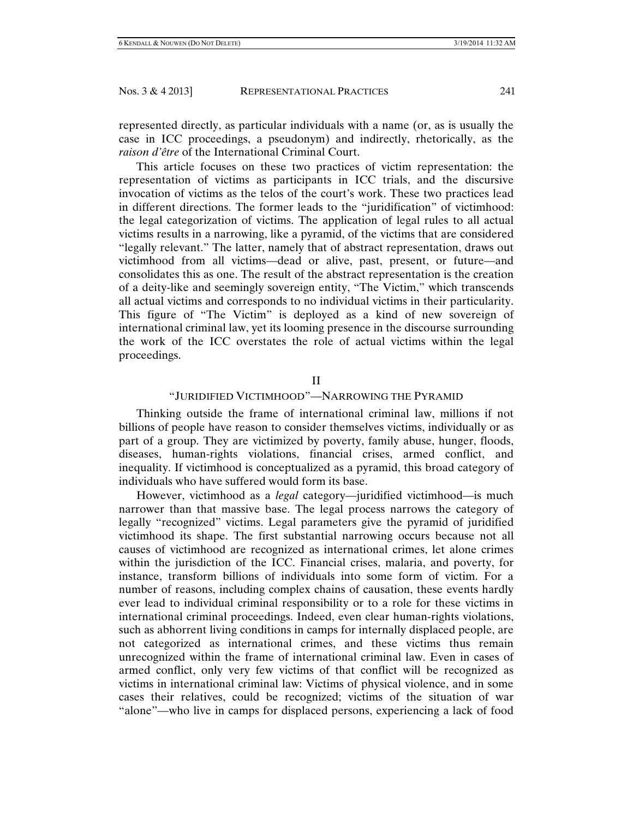represented directly, as particular individuals with a name (or, as is usually the case in ICC proceedings, a pseudonym) and indirectly, rhetorically, as the *raison d'être* of the International Criminal Court.

This article focuses on these two practices of victim representation: the representation of victims as participants in ICC trials, and the discursive invocation of victims as the telos of the court's work. These two practices lead in different directions. The former leads to the "juridification" of victimhood: the legal categorization of victims. The application of legal rules to all actual victims results in a narrowing, like a pyramid, of the victims that are considered "legally relevant." The latter, namely that of abstract representation, draws out victimhood from all victims—dead or alive, past, present, or future—and consolidates this as one. The result of the abstract representation is the creation of a deity-like and seemingly sovereign entity, "The Victim," which transcends all actual victims and corresponds to no individual victims in their particularity. This figure of "The Victim" is deployed as a kind of new sovereign of international criminal law, yet its looming presence in the discourse surrounding the work of the ICC overstates the role of actual victims within the legal proceedings.

II

#### "JURIDIFIED VICTIMHOOD"—NARROWING THE PYRAMID

Thinking outside the frame of international criminal law, millions if not billions of people have reason to consider themselves victims, individually or as part of a group. They are victimized by poverty, family abuse, hunger, floods, diseases, human-rights violations, financial crises, armed conflict, and inequality. If victimhood is conceptualized as a pyramid, this broad category of individuals who have suffered would form its base.

However, victimhood as a *legal* category—juridified victimhood—is much narrower than that massive base. The legal process narrows the category of legally "recognized" victims. Legal parameters give the pyramid of juridified victimhood its shape. The first substantial narrowing occurs because not all causes of victimhood are recognized as international crimes, let alone crimes within the jurisdiction of the ICC. Financial crises, malaria, and poverty, for instance, transform billions of individuals into some form of victim. For a number of reasons, including complex chains of causation, these events hardly ever lead to individual criminal responsibility or to a role for these victims in international criminal proceedings. Indeed, even clear human-rights violations, such as abhorrent living conditions in camps for internally displaced people, are not categorized as international crimes, and these victims thus remain unrecognized within the frame of international criminal law. Even in cases of armed conflict, only very few victims of that conflict will be recognized as victims in international criminal law: Victims of physical violence, and in some cases their relatives, could be recognized; victims of the situation of war "alone"—who live in camps for displaced persons, experiencing a lack of food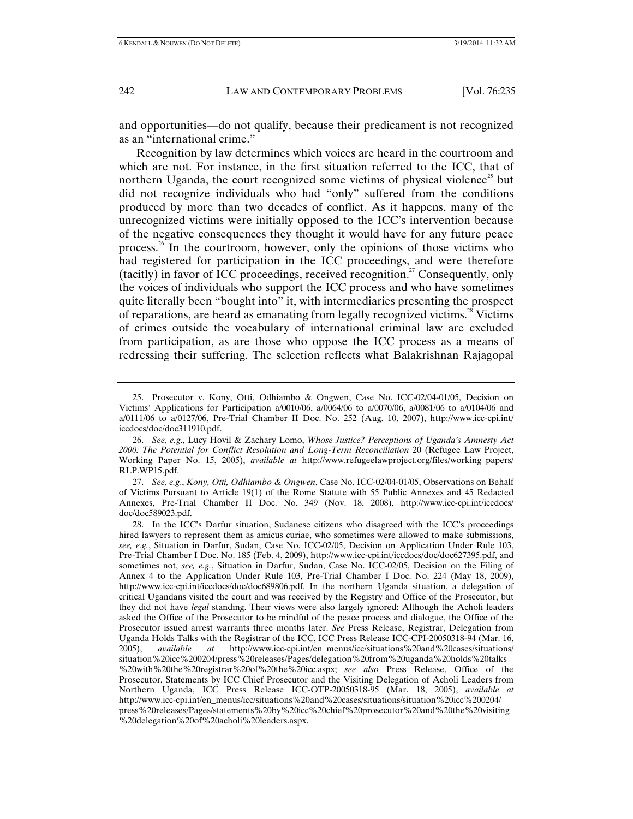and opportunities—do not qualify, because their predicament is not recognized as an "international crime."

Recognition by law determines which voices are heard in the courtroom and which are not. For instance, in the first situation referred to the ICC, that of northern Uganda, the court recognized some victims of physical violence<sup>25</sup> but did not recognize individuals who had "only" suffered from the conditions produced by more than two decades of conflict. As it happens, many of the unrecognized victims were initially opposed to the ICC's intervention because of the negative consequences they thought it would have for any future peace process.26 In the courtroom, however, only the opinions of those victims who had registered for participation in the ICC proceedings, and were therefore (tacitly) in favor of ICC proceedings, received recognition.<sup>27</sup> Consequently, only the voices of individuals who support the ICC process and who have sometimes quite literally been "bought into" it, with intermediaries presenting the prospect of reparations, are heard as emanating from legally recognized victims.<sup>28</sup> Victims of crimes outside the vocabulary of international criminal law are excluded from participation, as are those who oppose the ICC process as a means of redressing their suffering. The selection reflects what Balakrishnan Rajagopal

 <sup>25.</sup> Prosecutor v. Kony, Otti, Odhiambo & Ongwen, Case No. ICC-02/04-01/05, Decision on Victims' Applications for Participation a/0010/06, a/0064/06 to a/0070/06, a/0081/06 to a/0104/06 and a/0111/06 to a/0127/06, Pre-Trial Chamber II Doc. No. 252 (Aug. 10, 2007), http://www.icc-cpi.int/ iccdocs/doc/doc311910.pdf.

 <sup>26.</sup> *See, e.g*., Lucy Hovil & Zachary Lomo, *Whose Justice? Perceptions of Uganda's Amnesty Act 2000: The Potential for Conflict Resolution and Long-Term Reconciliation* 20 (Refugee Law Project, Working Paper No. 15, 2005), *available at* http://www.refugeelawproject.org/files/working\_papers/ RLP.WP15.pdf.

 <sup>27.</sup> *See, e.g*., *Kony, Otti, Odhiambo & Ongwen*, Case No. ICC-02/04-01/05, Observations on Behalf of Victims Pursuant to Article 19(1) of the Rome Statute with 55 Public Annexes and 45 Redacted Annexes, Pre-Trial Chamber II Doc. No. 349 (Nov. 18, 2008), http://www.icc-cpi.int/iccdocs/ doc/doc589023.pdf.

 <sup>28.</sup> In the ICC's Darfur situation, Sudanese citizens who disagreed with the ICC's proceedings hired lawyers to represent them as amicus curiae, who sometimes were allowed to make submissions, *see, e.g.*, Situation in Darfur, Sudan, Case No. ICC-02/05, Decision on Application Under Rule 103, Pre-Trial Chamber I Doc. No. 185 (Feb. 4, 2009), http://www.icc-cpi.int/iccdocs/doc/doc627395.pdf, and sometimes not, *see, e.g.*, Situation in Darfur, Sudan, Case No. ICC-02/05, Decision on the Filing of Annex 4 to the Application Under Rule 103, Pre-Trial Chamber I Doc. No. 224 (May 18, 2009), http://www.icc-cpi.int/iccdocs/doc/doc689806.pdf. In the northern Uganda situation, a delegation of critical Ugandans visited the court and was received by the Registry and Office of the Prosecutor, but they did not have *legal* standing. Their views were also largely ignored: Although the Acholi leaders asked the Office of the Prosecutor to be mindful of the peace process and dialogue, the Office of the Prosecutor issued arrest warrants three months later. *See* Press Release, Registrar, Delegation from Uganda Holds Talks with the Registrar of the ICC, ICC Press Release ICC-CPI-20050318-94 (Mar. 16, 2005), *available at* http://www.icc-cpi.int/en\_menus/icc/situations%20and%20cases/situations/ situation%20icc%200204/press%20releases/Pages/delegation%20from%20uganda%20holds%20talks %20with%20the%20registrar%20of%20the%20icc.aspx; *see also* Press Release, Office of the Prosecutor, Statements by ICC Chief Prosecutor and the Visiting Delegation of Acholi Leaders from Northern Uganda, ICC Press Release ICC-OTP-20050318-95 (Mar. 18, 2005), *available at*  http://www.icc-cpi.int/en\_menus/icc/situations%20and%20cases/situations/situation%20icc%200204/ press%20releases/Pages/statements%20by%20icc%20chief%20prosecutor%20and%20the%20visiting %20delegation%20of%20acholi%20leaders.aspx.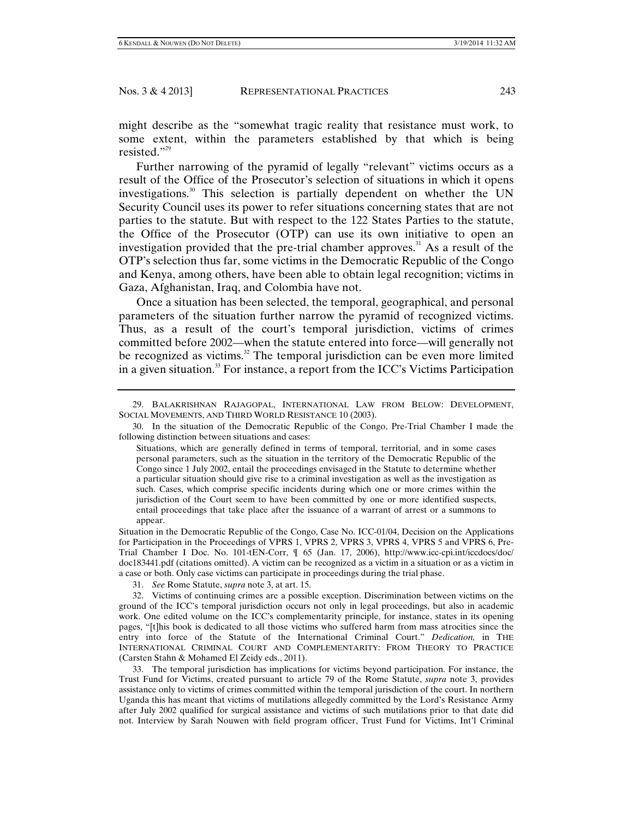might describe as the "somewhat tragic reality that resistance must work, to some extent, within the parameters established by that which is being resisted."<sup>29</sup>

Further narrowing of the pyramid of legally "relevant" victims occurs as a result of the Office of the Prosecutor's selection of situations in which it opens investigations.30 This selection is partially dependent on whether the UN Security Council uses its power to refer situations concerning states that are not parties to the statute. But with respect to the 122 States Parties to the statute, the Office of the Prosecutor (OTP) can use its own initiative to open an investigation provided that the pre-trial chamber approves.<sup>31</sup> As a result of the OTP's selection thus far, some victims in the Democratic Republic of the Congo and Kenya, among others, have been able to obtain legal recognition; victims in Gaza, Afghanistan, Iraq, and Colombia have not.

Once a situation has been selected, the temporal, geographical, and personal parameters of the situation further narrow the pyramid of recognized victims. Thus, as a result of the court's temporal jurisdiction, victims of crimes committed before 2002—when the statute entered into force—will generally not be recognized as victims. $32$  The temporal jurisdiction can be even more limited in a given situation.<sup>33</sup> For instance, a report from the ICC's Victims Participation

Situation in the Democratic Republic of the Congo, Case No. ICC-01/04, Decision on the Applications for Participation in the Proceedings of VPRS 1, VPRS 2, VPRS 3, VPRS 4, VPRS 5 and VPRS 6, Pre-Trial Chamber I Doc. No. 101-tEN-Corr, ¶ 65 (Jan. 17, 2006), http://www.icc-cpi.int/iccdocs/doc/ doc183441.pdf (citations omitted). A victim can be recognized as a victim in a situation or as a victim in a case or both. Only case victims can participate in proceedings during the trial phase.

31. *See* Rome Statute, *supra* note 3, at art. 15.

 32. Victims of continuing crimes are a possible exception. Discrimination between victims on the ground of the ICC's temporal jurisdiction occurs not only in legal proceedings, but also in academic work. One edited volume on the ICC's complementarity principle, for instance, states in its opening pages, "[t]his book is dedicated to all those victims who suffered harm from mass atrocities since the entry into force of the Statute of the International Criminal Court." *Dedication,* in THE INTERNATIONAL CRIMINAL COURT AND COMPLEMENTARITY: FROM THEORY TO PRACTICE (Carsten Stahn & Mohamed El Zeidy eds., 2011).

 33. The temporal jurisdiction has implications for victims beyond participation. For instance, the Trust Fund for Victims, created pursuant to article 79 of the Rome Statute, *supra* note 3, provides assistance only to victims of crimes committed within the temporal jurisdiction of the court. In northern Uganda this has meant that victims of mutilations allegedly committed by the Lord's Resistance Army after July 2002 qualified for surgical assistance and victims of such mutilations prior to that date did not. Interview by Sarah Nouwen with field program officer, Trust Fund for Victims, Int'l Criminal

 <sup>29.</sup> BALAKRISHNAN RAJAGOPAL, INTERNATIONAL LAW FROM BELOW: DEVELOPMENT, SOCIAL MOVEMENTS, AND THIRD WORLD RESISTANCE 10 (2003).

 <sup>30.</sup> In the situation of the Democratic Republic of the Congo, Pre-Trial Chamber I made the following distinction between situations and cases:

Situations, which are generally defined in terms of temporal, territorial, and in some cases personal parameters, such as the situation in the territory of the Democratic Republic of the Congo since 1 July 2002, entail the proceedings envisaged in the Statute to determine whether a particular situation should give rise to a criminal investigation as well as the investigation as such. Cases, which comprise specific incidents during which one or more crimes within the jurisdiction of the Court seem to have been committed by one or more identified suspects, entail proceedings that take place after the issuance of a warrant of arrest or a summons to appear.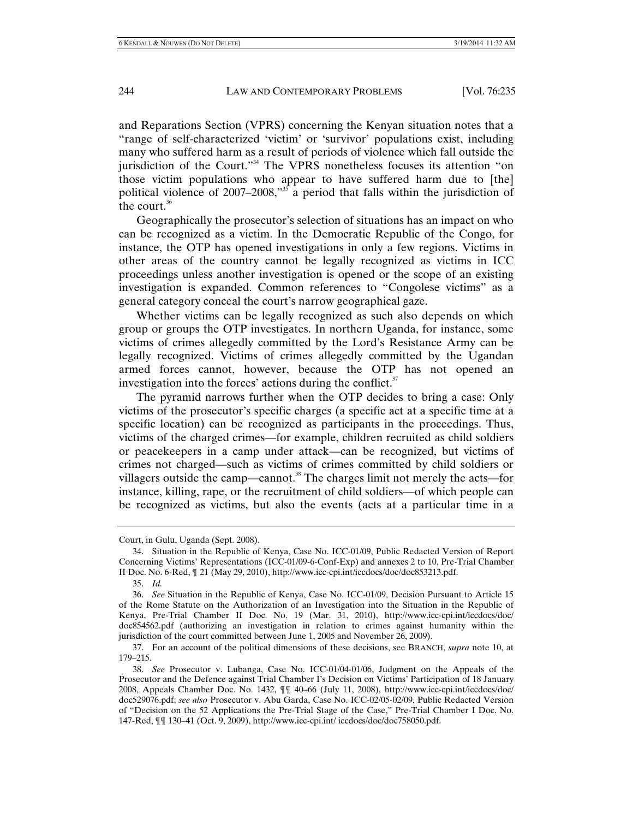and Reparations Section (VPRS) concerning the Kenyan situation notes that a "range of self-characterized 'victim' or 'survivor' populations exist, including many who suffered harm as a result of periods of violence which fall outside the jurisdiction of the Court."<sup>34</sup> The VPRS nonetheless focuses its attention "on those victim populations who appear to have suffered harm due to [the] political violence of 2007–2008,"35 a period that falls within the jurisdiction of the court. $36$ 

Geographically the prosecutor's selection of situations has an impact on who can be recognized as a victim. In the Democratic Republic of the Congo, for instance, the OTP has opened investigations in only a few regions. Victims in other areas of the country cannot be legally recognized as victims in ICC proceedings unless another investigation is opened or the scope of an existing investigation is expanded. Common references to "Congolese victims" as a general category conceal the court's narrow geographical gaze.

Whether victims can be legally recognized as such also depends on which group or groups the OTP investigates. In northern Uganda, for instance, some victims of crimes allegedly committed by the Lord's Resistance Army can be legally recognized. Victims of crimes allegedly committed by the Ugandan armed forces cannot, however, because the OTP has not opened an investigation into the forces' actions during the conflict.<sup>37</sup>

The pyramid narrows further when the OTP decides to bring a case: Only victims of the prosecutor's specific charges (a specific act at a specific time at a specific location) can be recognized as participants in the proceedings. Thus, victims of the charged crimes—for example, children recruited as child soldiers or peacekeepers in a camp under attack—can be recognized, but victims of crimes not charged—such as victims of crimes committed by child soldiers or villagers outside the camp—cannot.<sup>38</sup> The charges limit not merely the acts—for instance, killing, rape, or the recruitment of child soldiers—of which people can be recognized as victims, but also the events (acts at a particular time in a

Court, in Gulu, Uganda (Sept. 2008).

 <sup>34.</sup> Situation in the Republic of Kenya, Case No. ICC-01/09, Public Redacted Version of Report Concerning Victims' Representations (ICC-01/09-6-Conf-Exp) and annexes 2 to 10, Pre-Trial Chamber II Doc. No. 6-Red, ¶ 21 (May 29, 2010), http://www.icc-cpi.int/iccdocs/doc/doc853213.pdf.

 <sup>35.</sup> *Id.* 

 <sup>36.</sup> *See* Situation in the Republic of Kenya, Case No. ICC-01/09, Decision Pursuant to Article 15 of the Rome Statute on the Authorization of an Investigation into the Situation in the Republic of Kenya, Pre-Trial Chamber II Doc. No. 19 (Mar. 31, 2010), http://www.icc-cpi.int/iccdocs/doc/ doc854562.pdf (authorizing an investigation in relation to crimes against humanity within the jurisdiction of the court committed between June 1, 2005 and November 26, 2009).

 <sup>37.</sup> For an account of the political dimensions of these decisions, see BRANCH, *supra* note 10, at 179–215.

 <sup>38.</sup> *See* Prosecutor v. Lubanga, Case No. ICC-01/04-01/06, Judgment on the Appeals of the Prosecutor and the Defence against Trial Chamber I's Decision on Victims' Participation of 18 January 2008, Appeals Chamber Doc. No. 1432, ¶¶ 40–66 (July 11, 2008), http://www.icc-cpi.int/iccdocs/doc/ doc529076.pdf; *see also* Prosecutor v. Abu Garda, Case No. ICC-02/05-02/09, Public Redacted Version of "Decision on the 52 Applications the Pre-Trial Stage of the Case," Pre-Trial Chamber I Doc. No. 147-Red, ¶¶ 130–41 (Oct. 9, 2009), http://www.icc-cpi.int/ iccdocs/doc/doc758050.pdf.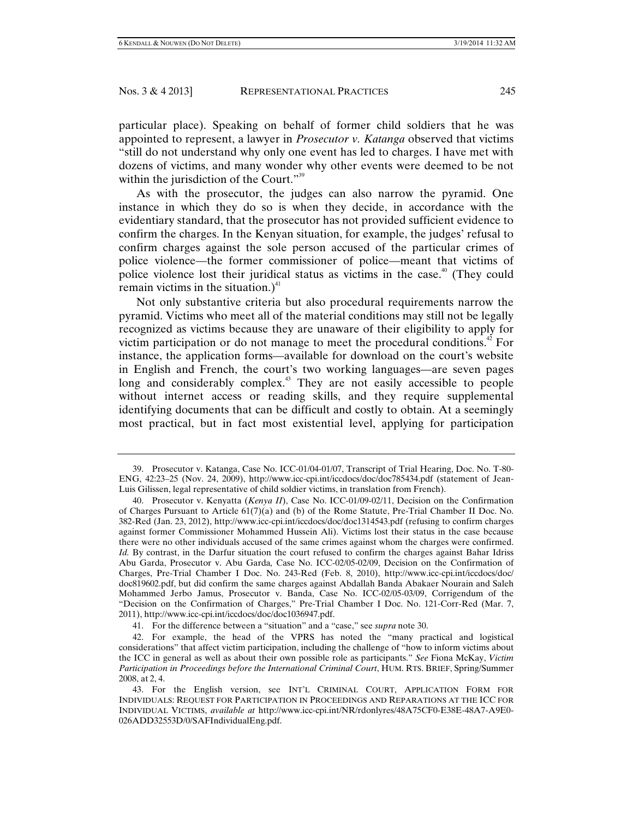particular place). Speaking on behalf of former child soldiers that he was appointed to represent, a lawyer in *Prosecutor v. Katanga* observed that victims "still do not understand why only one event has led to charges. I have met with dozens of victims, and many wonder why other events were deemed to be not within the jurisdiction of the Court."<sup>39</sup>

As with the prosecutor, the judges can also narrow the pyramid. One instance in which they do so is when they decide, in accordance with the evidentiary standard, that the prosecutor has not provided sufficient evidence to confirm the charges. In the Kenyan situation, for example, the judges' refusal to confirm charges against the sole person accused of the particular crimes of police violence—the former commissioner of police—meant that victims of police violence lost their juridical status as victims in the case.<sup>40</sup> (They could remain victims in the situation.) $41$ 

Not only substantive criteria but also procedural requirements narrow the pyramid. Victims who meet all of the material conditions may still not be legally recognized as victims because they are unaware of their eligibility to apply for victim participation or do not manage to meet the procedural conditions.<sup>42</sup> For instance, the application forms—available for download on the court's website in English and French, the court's two working languages—are seven pages long and considerably complex.<sup>43</sup> They are not easily accessible to people without internet access or reading skills, and they require supplemental identifying documents that can be difficult and costly to obtain. At a seemingly most practical, but in fact most existential level, applying for participation

41. For the difference between a "situation" and a "case," see *supra* note 30.

 <sup>39.</sup> Prosecutor v. Katanga, Case No. ICC-01/04-01/07, Transcript of Trial Hearing, Doc. No. T-80- ENG, 42:23–25 (Nov. 24, 2009), http://www.icc-cpi.int/iccdocs/doc/doc785434.pdf (statement of Jean-Luis Gilissen, legal representative of child soldier victims, in translation from French).

 <sup>40.</sup> Prosecutor v. Kenyatta (*Kenya II*), Case No. ICC-01/09-02/11, Decision on the Confirmation of Charges Pursuant to Article 61(7)(a) and (b) of the Rome Statute, Pre-Trial Chamber II Doc. No. 382-Red (Jan. 23, 2012), http://www.icc-cpi.int/iccdocs/doc/doc1314543.pdf (refusing to confirm charges against former Commissioner Mohammed Hussein Ali). Victims lost their status in the case because there were no other individuals accused of the same crimes against whom the charges were confirmed. *Id.* By contrast, in the Darfur situation the court refused to confirm the charges against Bahar Idriss Abu Garda, Prosecutor v. Abu Garda*,* Case No. ICC-02/05-02/09, Decision on the Confirmation of Charges, Pre-Trial Chamber I Doc. No. 243-Red (Feb. 8, 2010), http://www.icc-cpi.int/iccdocs/doc/ doc819602.pdf, but did confirm the same charges against Abdallah Banda Abakaer Nourain and Saleh Mohammed Jerbo Jamus, Prosecutor v. Banda, Case No. ICC-02/05-03/09, Corrigendum of the "Decision on the Confirmation of Charges," Pre-Trial Chamber I Doc. No. 121-Corr-Red (Mar. 7, 2011), http://www.icc-cpi.int/iccdocs/doc/doc1036947.pdf.

 <sup>42.</sup> For example, the head of the VPRS has noted the "many practical and logistical considerations" that affect victim participation, including the challenge of "how to inform victims about the ICC in general as well as about their own possible role as participants." *See* Fiona McKay, *Victim Participation in Proceedings before the International Criminal Court*, HUM. RTS. BRIEF, Spring/Summer 2008, at 2, 4.

 <sup>43.</sup> For the English version, see INT'L CRIMINAL COURT, APPLICATION FORM FOR INDIVIDUALS: REQUEST FOR PARTICIPATION IN PROCEEDINGS AND REPARATIONS AT THE ICC FOR INDIVIDUAL VICTIMS, *available at* http://www.icc-cpi.int/NR/rdonlyres/48A75CF0-E38E-48A7-A9E0- 026ADD32553D/0/SAFIndividualEng.pdf.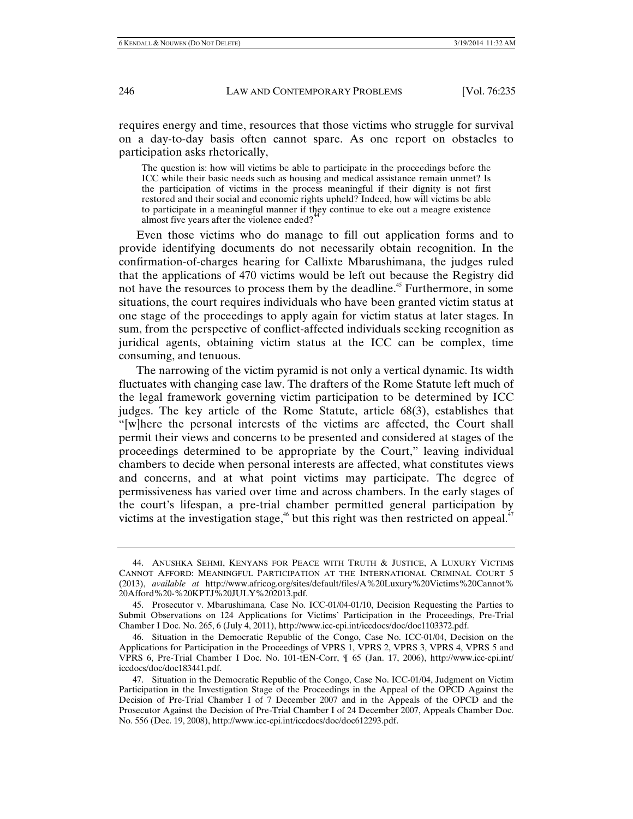requires energy and time, resources that those victims who struggle for survival on a day-to-day basis often cannot spare. As one report on obstacles to participation asks rhetorically,

The question is: how will victims be able to participate in the proceedings before the ICC while their basic needs such as housing and medical assistance remain unmet? Is the participation of victims in the process meaningful if their dignity is not first restored and their social and economic rights upheld? Indeed, how will victims be able to participate in a meaningful manner if they continue to eke out a meagre existence almost five years after the violence ended? $44$ 

Even those victims who do manage to fill out application forms and to provide identifying documents do not necessarily obtain recognition. In the confirmation-of-charges hearing for Callixte Mbarushimana, the judges ruled that the applications of 470 victims would be left out because the Registry did not have the resources to process them by the deadline.<sup>45</sup> Furthermore, in some situations, the court requires individuals who have been granted victim status at one stage of the proceedings to apply again for victim status at later stages. In sum, from the perspective of conflict-affected individuals seeking recognition as juridical agents, obtaining victim status at the ICC can be complex, time consuming, and tenuous.

The narrowing of the victim pyramid is not only a vertical dynamic. Its width fluctuates with changing case law. The drafters of the Rome Statute left much of the legal framework governing victim participation to be determined by ICC judges. The key article of the Rome Statute, article 68(3), establishes that "[w]here the personal interests of the victims are affected, the Court shall permit their views and concerns to be presented and considered at stages of the proceedings determined to be appropriate by the Court," leaving individual chambers to decide when personal interests are affected, what constitutes views and concerns, and at what point victims may participate. The degree of permissiveness has varied over time and across chambers. In the early stages of the court's lifespan, a pre-trial chamber permitted general participation by victims at the investigation stage,<sup> $46$ </sup> but this right was then restricted on appeal. $47$ 

 <sup>44.</sup> ANUSHKA SEHMI, KENYANS FOR PEACE WITH TRUTH & JUSTICE, A LUXURY VICTIMS CANNOT AFFORD: MEANINGFUL PARTICIPATION AT THE INTERNATIONAL CRIMINAL COURT 5 (2013), *available at* http://www.africog.org/sites/default/files/A%20Luxury%20Victims%20Cannot% 20Afford%20-%20KPTJ%20JULY%202013.pdf.

 <sup>45.</sup> Prosecutor v. Mbarushimana*,* Case No. ICC-01/04-01/10, Decision Requesting the Parties to Submit Observations on 124 Applications for Victims' Participation in the Proceedings, Pre-Trial Chamber I Doc. No. 265, 6 (July 4, 2011), http://www.icc-cpi.int/iccdocs/doc/doc1103372.pdf.

 <sup>46.</sup> Situation in the Democratic Republic of the Congo, Case No. ICC-01/04, Decision on the Applications for Participation in the Proceedings of VPRS 1, VPRS 2, VPRS 3, VPRS 4, VPRS 5 and VPRS 6, Pre-Trial Chamber I Doc. No. 101-tEN-Corr, ¶ 65 (Jan. 17, 2006), http://www.icc-cpi.int/ iccdocs/doc/doc183441.pdf.

 <sup>47.</sup> Situation in the Democratic Republic of the Congo, Case No. ICC-01/04, Judgment on Victim Participation in the Investigation Stage of the Proceedings in the Appeal of the OPCD Against the Decision of Pre-Trial Chamber I of 7 December 2007 and in the Appeals of the OPCD and the Prosecutor Against the Decision of Pre-Trial Chamber I of 24 December 2007, Appeals Chamber Doc. No. 556 (Dec. 19, 2008), http://www.icc-cpi.int/iccdocs/doc/doc612293.pdf.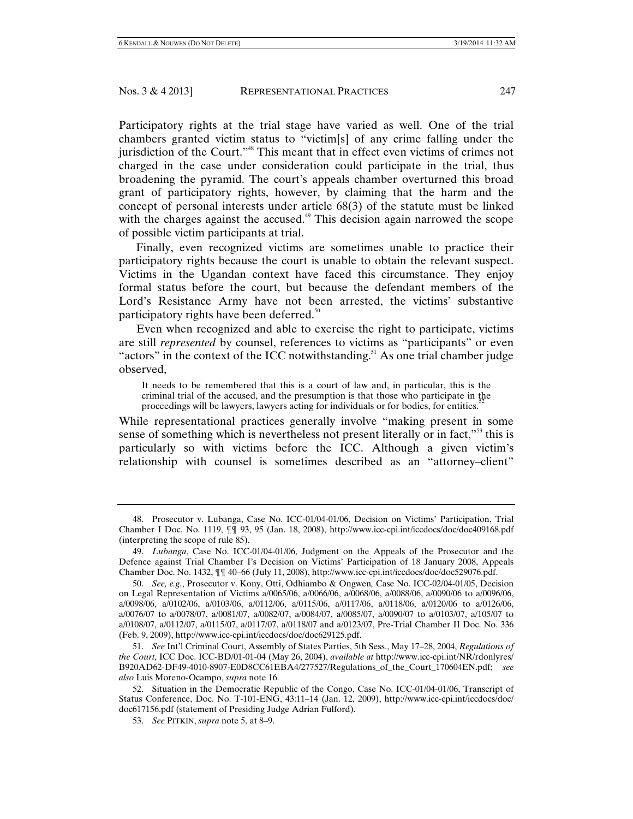Participatory rights at the trial stage have varied as well. One of the trial chambers granted victim status to "victim[s] of any crime falling under the jurisdiction of the Court."48 This meant that in effect even victims of crimes not charged in the case under consideration could participate in the trial, thus broadening the pyramid. The court's appeals chamber overturned this broad grant of participatory rights, however, by claiming that the harm and the concept of personal interests under article 68(3) of the statute must be linked with the charges against the accused.<sup>49</sup> This decision again narrowed the scope of possible victim participants at trial.

Finally, even recognized victims are sometimes unable to practice their participatory rights because the court is unable to obtain the relevant suspect. Victims in the Ugandan context have faced this circumstance. They enjoy formal status before the court, but because the defendant members of the Lord's Resistance Army have not been arrested, the victims' substantive participatory rights have been deferred. $50$ 

Even when recognized and able to exercise the right to participate, victims are still *represented* by counsel, references to victims as "participants" or even "actors" in the context of the ICC notwithstanding.<sup>51</sup> As one trial chamber judge observed,

It needs to be remembered that this is a court of law and, in particular, this is the criminal trial of the accused, and the presumption is that those who participate in the proceedings will be lawyers, lawyers acting for individuals or for bodies, for entities.

While representational practices generally involve "making present in some sense of something which is nevertheless not present literally or in fact,<sup>553</sup> this is particularly so with victims before the ICC. Although a given victim's relationship with counsel is sometimes described as an "attorney–client"

 <sup>48.</sup> Prosecutor v. Lubanga, Case No. ICC-01/04-01/06, Decision on Victims' Participation, Trial Chamber I Doc. No. 1119, ¶¶ 93, 95 (Jan. 18, 2008), http://www.icc-cpi.int/iccdocs/doc/doc409168.pdf (interpreting the scope of rule 85).

 <sup>49.</sup> *Lubanga*, Case No. ICC-01/04-01/06, Judgment on the Appeals of the Prosecutor and the Defence against Trial Chamber I's Decision on Victims' Participation of 18 January 2008, Appeals Chamber Doc. No. 1432, ¶¶ 40–66 (July 11, 2008), http://www.icc-cpi.int/iccdocs/doc/doc529076.pdf.

 <sup>50.</sup> *See, e.g.*, Prosecutor v. Kony, Otti, Odhiambo & Ongwen*,* Case No. ICC-02/04-01/05, Decision on Legal Representation of Victims a/0065/06, a/0066/06, a/0068/06, a/0088/06, a/0090/06 to a/0096/06, a/0098/06, a/0102/06, a/0103/06, a/0112/06, a/0115/06, a/0117/06, a/0118/06, a/0120/06 to a/0126/06, a/0076/07 to a/0078/07, a/0081/07, a/0082/07, a/0084/07, a/0085/07, a/0090/07 to a/0103/07, a/105/07 to a/0108/07, a/0112/07, a/0115/07, a/0117/07, a/0118/07 and a/0123/07, Pre-Trial Chamber II Doc. No. 336 (Feb. 9, 2009), http://www.icc-cpi.int/iccdocs/doc/doc629125.pdf.

 <sup>51.</sup> *See* Int'l Criminal Court, Assembly of States Parties, 5th Sess., May 17–28, 2004, *Regulations of the Court*, ICC Doc. ICC-BD/01-01-04 (May 26, 2004), *available at* http://www.icc-cpi.int/NR/rdonlyres/ B920AD62-DF49-4010-8907-E0D8CC61EBA4/277527/Regulations\_of\_the\_Court\_170604EN.pdf; *see also* Luis Moreno-Ocampo, *supra* note 16.

 <sup>52.</sup> Situation in the Democratic Republic of the Congo, Case No. ICC-01/04-01/06, Transcript of Status Conference, Doc. No. T-101-ENG, 43:11–14 (Jan. 12, 2009), http://www.icc-cpi.int/iccdocs/doc/ doc617156.pdf (statement of Presiding Judge Adrian Fulford).

 <sup>53.</sup> *See* PITKIN, *supra* note 5, at 8–9.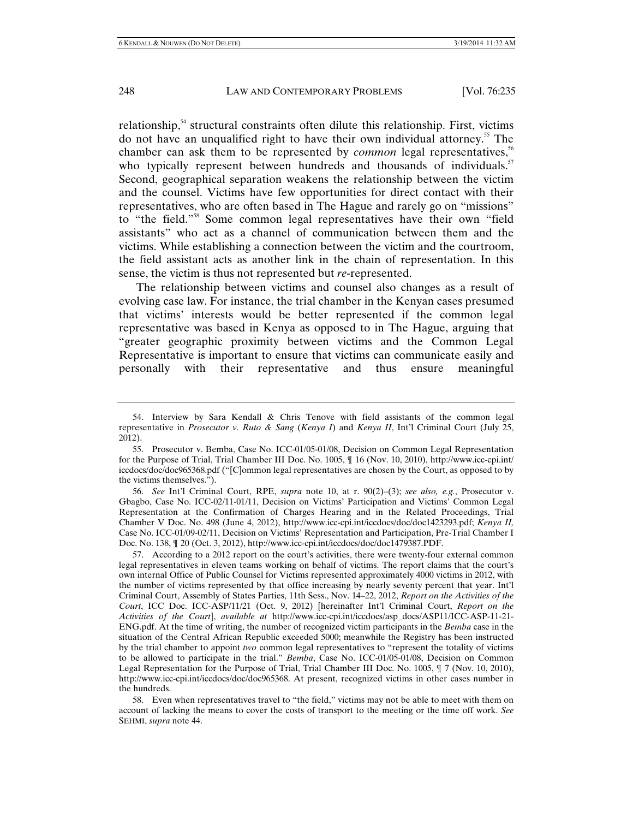relationship, $54$  structural constraints often dilute this relationship. First, victims do not have an unqualified right to have their own individual attorney.<sup>55</sup> The chamber can ask them to be represented by *common* legal representatives,<sup>56</sup> who typically represent between hundreds and thousands of individuals.<sup>57</sup> Second, geographical separation weakens the relationship between the victim and the counsel. Victims have few opportunities for direct contact with their representatives, who are often based in The Hague and rarely go on "missions" to "the field."58 Some common legal representatives have their own "field assistants" who act as a channel of communication between them and the victims. While establishing a connection between the victim and the courtroom, the field assistant acts as another link in the chain of representation. In this sense, the victim is thus not represented but *re*-represented.

The relationship between victims and counsel also changes as a result of evolving case law. For instance, the trial chamber in the Kenyan cases presumed that victims' interests would be better represented if the common legal representative was based in Kenya as opposed to in The Hague, arguing that "greater geographic proximity between victims and the Common Legal Representative is important to ensure that victims can communicate easily and personally with their representative and thus ensure meaningful

 56. *See* Int'l Criminal Court, RPE, *supra* note 10, at r. 90(2)–(3); *see also, e.g.*, Prosecutor v. Gbagbo, Case No. ICC-02/11-01/11, Decision on Victims' Participation and Victims' Common Legal Representation at the Confirmation of Charges Hearing and in the Related Proceedings, Trial Chamber V Doc. No. 498 (June 4, 2012), http://www.icc-cpi.int/iccdocs/doc/doc1423293.pdf; *Kenya II,*  Case No. ICC-01/09-02/11, Decision on Victims' Representation and Participation, Pre-Trial Chamber I Doc. No. 138, ¶ 20 (Oct. 3, 2012), http://www.icc-cpi.int/iccdocs/doc/doc1479387.PDF.

 57. According to a 2012 report on the court's activities, there were twenty-four external common legal representatives in eleven teams working on behalf of victims. The report claims that the court's own internal Office of Public Counsel for Victims represented approximately 4000 victims in 2012, with the number of victims represented by that office increasing by nearly seventy percent that year. Int'l Criminal Court, Assembly of States Parties, 11th Sess., Nov. 14–22, 2012, *Report on the Activities of the Court*, ICC Doc. ICC-ASP/11/21 (Oct. 9, 2012) [hereinafter Int'l Criminal Court, *Report on the Activities of the Court*], *available at* http://www.icc-cpi.int/iccdocs/asp\_docs/ASP11/ICC-ASP-11-21- ENG.pdf. At the time of writing, the number of recognized victim participants in the *Bemba* case in the situation of the Central African Republic exceeded 5000; meanwhile the Registry has been instructed by the trial chamber to appoint *two* common legal representatives to "represent the totality of victims to be allowed to participate in the trial." *Bemba*, Case No. ICC-01/05-01/08, Decision on Common Legal Representation for the Purpose of Trial, Trial Chamber III Doc. No. 1005,  $\P$  7 (Nov. 10, 2010), http://www.icc-cpi.int/iccdocs/doc/doc965368. At present, recognized victims in other cases number in the hundreds.

 58. Even when representatives travel to "the field," victims may not be able to meet with them on account of lacking the means to cover the costs of transport to the meeting or the time off work. *See* SEHMI, *supra* note 44.

 <sup>54.</sup> Interview by Sara Kendall & Chris Tenove with field assistants of the common legal representative in *Prosecutor v. Ruto & Sang* (*Kenya I*) and *Kenya II*, Int'l Criminal Court (July 25, 2012).

 <sup>55.</sup> Prosecutor v. Bemba, Case No. ICC-01/05-01/08, Decision on Common Legal Representation for the Purpose of Trial, Trial Chamber III Doc. No. 1005, ¶ 16 (Nov. 10, 2010), http://www.icc-cpi.int/ iccdocs/doc/doc965368.pdf ("[C]ommon legal representatives are chosen by the Court, as opposed to by the victims themselves.").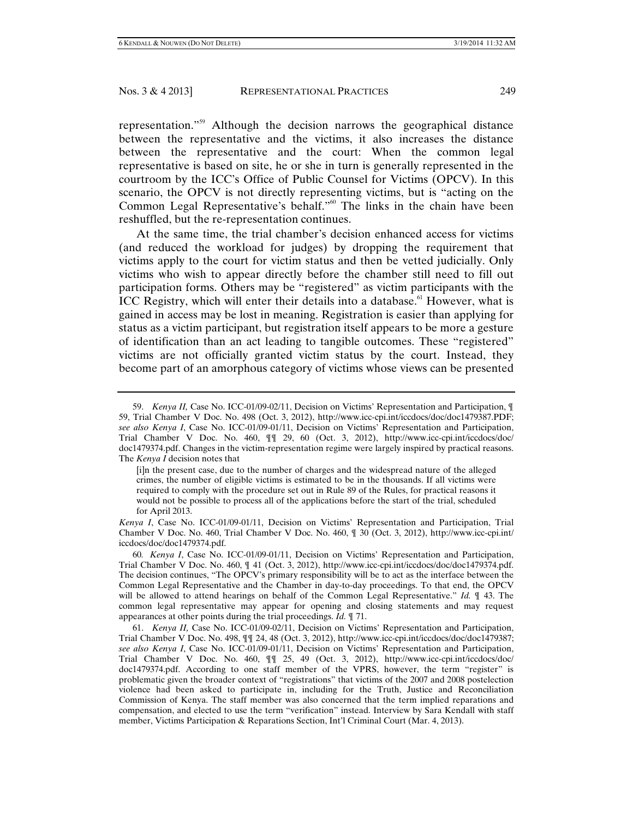representation."59 Although the decision narrows the geographical distance between the representative and the victims, it also increases the distance between the representative and the court: When the common legal representative is based on site, he or she in turn is generally represented in the courtroom by the ICC's Office of Public Counsel for Victims (OPCV). In this scenario, the OPCV is not directly representing victims, but is "acting on the Common Legal Representative's behalf."<sup>60</sup> The links in the chain have been reshuffled, but the re-representation continues.

At the same time, the trial chamber's decision enhanced access for victims (and reduced the workload for judges) by dropping the requirement that victims apply to the court for victim status and then be vetted judicially. Only victims who wish to appear directly before the chamber still need to fill out participation forms. Others may be "registered" as victim participants with the ICC Registry, which will enter their details into a database.<sup>61</sup> However, what is gained in access may be lost in meaning. Registration is easier than applying for status as a victim participant, but registration itself appears to be more a gesture of identification than an act leading to tangible outcomes. These "registered" victims are not officially granted victim status by the court. Instead, they become part of an amorphous category of victims whose views can be presented

[i]n the present case, due to the number of charges and the widespread nature of the alleged crimes, the number of eligible victims is estimated to be in the thousands. If all victims were required to comply with the procedure set out in Rule 89 of the Rules, for practical reasons it would not be possible to process all of the applications before the start of the trial, scheduled for April 2013.

*Kenya I*, Case No. ICC-01/09-01/11, Decision on Victims' Representation and Participation, Trial Chamber V Doc. No. 460, Trial Chamber V Doc. No. 460, ¶ 30 (Oct. 3, 2012), http://www.icc-cpi.int/ iccdocs/doc/doc1479374.pdf.

60*. Kenya I*, Case No. ICC-01/09-01/11, Decision on Victims' Representation and Participation, Trial Chamber V Doc. No. 460, ¶ 41 (Oct. 3, 2012), http://www.icc-cpi.int/iccdocs/doc/doc1479374.pdf. The decision continues, "The OPCV's primary responsibility will be to act as the interface between the Common Legal Representative and the Chamber in day-to-day proceedings. To that end, the OPCV will be allowed to attend hearings on behalf of the Common Legal Representative." *Id.* ¶ 43. The common legal representative may appear for opening and closing statements and may request appearances at other points during the trial proceedings. *Id.* ¶ 71.

 61. *Kenya II,* Case No. ICC-01/09-02/11, Decision on Victims' Representation and Participation, Trial Chamber V Doc. No. 498, ¶¶ 24, 48 (Oct. 3, 2012), http://www.icc-cpi.int/iccdocs/doc/doc1479387; *see also Kenya I*, Case No. ICC-01/09-01/11, Decision on Victims' Representation and Participation, Trial Chamber V Doc. No. 460, ¶¶ 25, 49 (Oct. 3, 2012), http://www.icc-cpi.int/iccdocs/doc/ doc1479374.pdf. According to one staff member of the VPRS, however, the term "register" is problematic given the broader context of "registrations" that victims of the 2007 and 2008 postelection violence had been asked to participate in, including for the Truth, Justice and Reconciliation Commission of Kenya. The staff member was also concerned that the term implied reparations and compensation, and elected to use the term "verification" instead. Interview by Sara Kendall with staff member, Victims Participation & Reparations Section, Int'l Criminal Court (Mar. 4, 2013).

 <sup>59.</sup> *Kenya II,* Case No. ICC-01/09-02/11, Decision on Victims' Representation and Participation, ¶ 59, Trial Chamber V Doc. No. 498 (Oct. 3, 2012), http://www.icc-cpi.int/iccdocs/doc/doc1479387.PDF; *see also Kenya I*, Case No. ICC-01/09-01/11, Decision on Victims' Representation and Participation, Trial Chamber V Doc. No. 460, ¶¶ 29, 60 (Oct. 3, 2012), http://www.icc-cpi.int/iccdocs/doc/ doc1479374.pdf. Changes in the victim-representation regime were largely inspired by practical reasons. The *Kenya I* decision notes that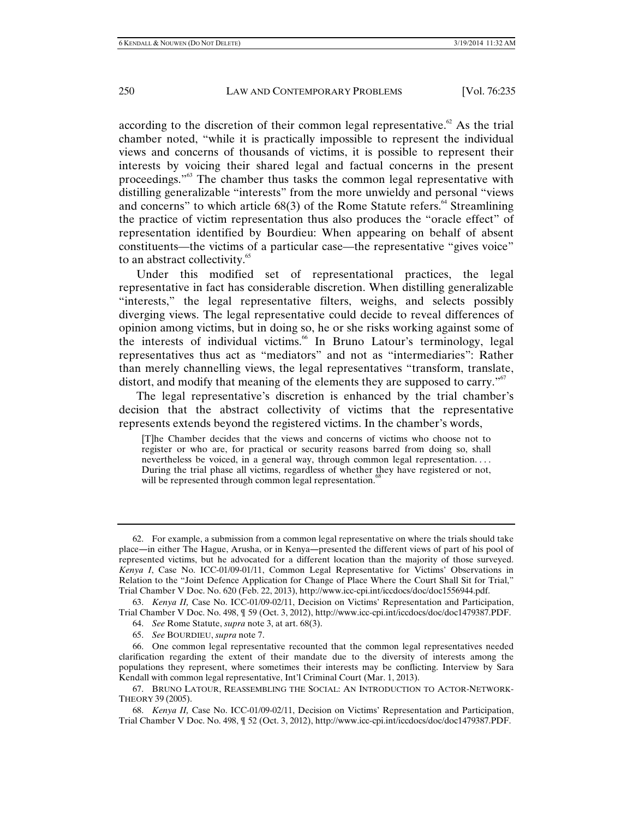according to the discretion of their common legal representative.<sup>62</sup> As the trial chamber noted, "while it is practically impossible to represent the individual views and concerns of thousands of victims, it is possible to represent their interests by voicing their shared legal and factual concerns in the present proceedings."63 The chamber thus tasks the common legal representative with distilling generalizable "interests" from the more unwieldy and personal "views and concerns" to which article  $68(3)$  of the Rome Statute refers.<sup>64</sup> Streamlining the practice of victim representation thus also produces the "oracle effect" of representation identified by Bourdieu: When appearing on behalf of absent constituents—the victims of a particular case—the representative "gives voice" to an abstract collectivity. $65$ 

Under this modified set of representational practices, the legal representative in fact has considerable discretion. When distilling generalizable "interests," the legal representative filters, weighs, and selects possibly diverging views. The legal representative could decide to reveal differences of opinion among victims, but in doing so, he or she risks working against some of the interests of individual victims.<sup>66</sup> In Bruno Latour's terminology, legal representatives thus act as "mediators" and not as "intermediaries": Rather than merely channelling views, the legal representatives "transform, translate, distort, and modify that meaning of the elements they are supposed to carry."<sup>67</sup>

The legal representative's discretion is enhanced by the trial chamber's decision that the abstract collectivity of victims that the representative represents extends beyond the registered victims. In the chamber's words,

[T]he Chamber decides that the views and concerns of victims who choose not to register or who are, for practical or security reasons barred from doing so, shall nevertheless be voiced, in a general way, through common legal representation. . . . During the trial phase all victims, regardless of whether they have registered or not, will be represented through common legal representation.<sup>6</sup>

 <sup>62.</sup> For example, a submission from a common legal representative on where the trials should take place―in either The Hague, Arusha, or in Kenya―presented the different views of part of his pool of represented victims, but he advocated for a different location than the majority of those surveyed. *Kenya I*, Case No. ICC-01/09-01/11, Common Legal Representative for Victims' Observations in Relation to the "Joint Defence Application for Change of Place Where the Court Shall Sit for Trial," Trial Chamber V Doc. No. 620 (Feb. 22, 2013), http://www.icc-cpi.int/iccdocs/doc/doc1556944.pdf.

 <sup>63.</sup> *Kenya II,* Case No. ICC-01/09-02/11, Decision on Victims' Representation and Participation, Trial Chamber V Doc. No. 498, ¶ 59 (Oct. 3, 2012), http://www.icc-cpi.int/iccdocs/doc/doc1479387.PDF.

 <sup>64.</sup> *See* Rome Statute, *supra* note 3, at art. 68(3).

 <sup>65.</sup> *See* BOURDIEU, *supra* note 7.

 <sup>66.</sup> One common legal representative recounted that the common legal representatives needed clarification regarding the extent of their mandate due to the diversity of interests among the populations they represent, where sometimes their interests may be conflicting. Interview by Sara Kendall with common legal representative, Int'l Criminal Court (Mar. 1, 2013).

 <sup>67.</sup> BRUNO LATOUR, REASSEMBLING THE SOCIAL: AN INTRODUCTION TO ACTOR-NETWORK-THEORY 39 (2005).

 <sup>68.</sup> *Kenya II,* Case No. ICC-01/09-02/11, Decision on Victims' Representation and Participation, Trial Chamber V Doc. No. 498, ¶ 52 (Oct. 3, 2012), http://www.icc-cpi.int/iccdocs/doc/doc1479387.PDF.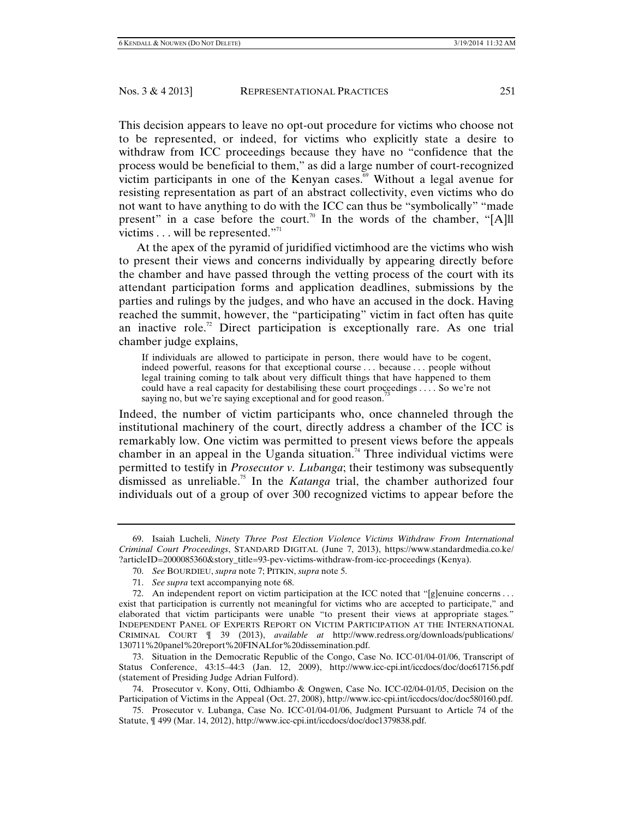This decision appears to leave no opt-out procedure for victims who choose not to be represented, or indeed, for victims who explicitly state a desire to withdraw from ICC proceedings because they have no "confidence that the process would be beneficial to them," as did a large number of court-recognized victim participants in one of the Kenyan cases.<sup> $69$ </sup> Without a legal avenue for resisting representation as part of an abstract collectivity, even victims who do not want to have anything to do with the ICC can thus be "symbolically" "made present" in a case before the court.<sup>70</sup> In the words of the chamber, "[A]ll victims  $\dots$  will be represented."<sup>71</sup>

At the apex of the pyramid of juridified victimhood are the victims who wish to present their views and concerns individually by appearing directly before the chamber and have passed through the vetting process of the court with its attendant participation forms and application deadlines, submissions by the parties and rulings by the judges, and who have an accused in the dock. Having reached the summit, however, the "participating" victim in fact often has quite an inactive role.<sup>72</sup> Direct participation is exceptionally rare. As one trial chamber judge explains,

If individuals are allowed to participate in person, there would have to be cogent, indeed powerful, reasons for that exceptional course . . . because . . . people without legal training coming to talk about very difficult things that have happened to them could have a real capacity for destabilising these court proceedings . . . . So we're not saying no, but we're saying exceptional and for good reason.

Indeed, the number of victim participants who, once channeled through the institutional machinery of the court, directly address a chamber of the ICC is remarkably low. One victim was permitted to present views before the appeals chamber in an appeal in the Uganda situation.<sup>74</sup> Three individual victims were permitted to testify in *Prosecutor v. Lubanga*; their testimony was subsequently dismissed as unreliable.75 In the *Katanga* trial, the chamber authorized four individuals out of a group of over 300 recognized victims to appear before the

 73. Situation in the Democratic Republic of the Congo, Case No. ICC-01/04-01/06, Transcript of Status Conference, 43:15–44:3 (Jan. 12, 2009), http://www.icc-cpi.int/iccdocs/doc/doc617156.pdf (statement of Presiding Judge Adrian Fulford).

 <sup>69.</sup> Isaiah Lucheli, *Ninety Three Post Election Violence Victims Withdraw From International Criminal Court Proceedings*, STANDARD DIGITAL (June 7, 2013), https://www.standardmedia.co.ke/ ?articleID=2000085360&story\_title=93-pev-victims-withdraw-from-icc-proceedings (Kenya).

 <sup>70.</sup> *See* BOURDIEU, *supra* note 7; PITKIN, *supra* note 5.

 <sup>71.</sup> *See supra* text accompanying note 68.

 <sup>72.</sup> An independent report on victim participation at the ICC noted that "[g]enuine concerns . . . exist that participation is currently not meaningful for victims who are accepted to participate," and elaborated that victim participants were unable "to present their views at appropriate stages*.*" INDEPENDENT PANEL OF EXPERTS REPORT ON VICTIM PARTICIPATION AT THE INTERNATIONAL CRIMINAL COURT ¶ 39 (2013), *available at* http://www.redress.org/downloads/publications/ 130711%20panel%20report%20FINALfor%20dissemination.pdf.

 <sup>74.</sup> Prosecutor v. Kony, Otti, Odhiambo & Ongwen, Case No. ICC-02/04-01/05, Decision on the Participation of Victims in the Appeal (Oct. 27, 2008), http://www.icc-cpi.int/iccdocs/doc/doc580160.pdf.

 <sup>75.</sup> Prosecutor v. Lubanga, Case No. ICC-01/04-01/06, Judgment Pursuant to Article 74 of the Statute, ¶ 499 (Mar. 14, 2012), http://www.icc-cpi.int/iccdocs/doc/doc1379838.pdf.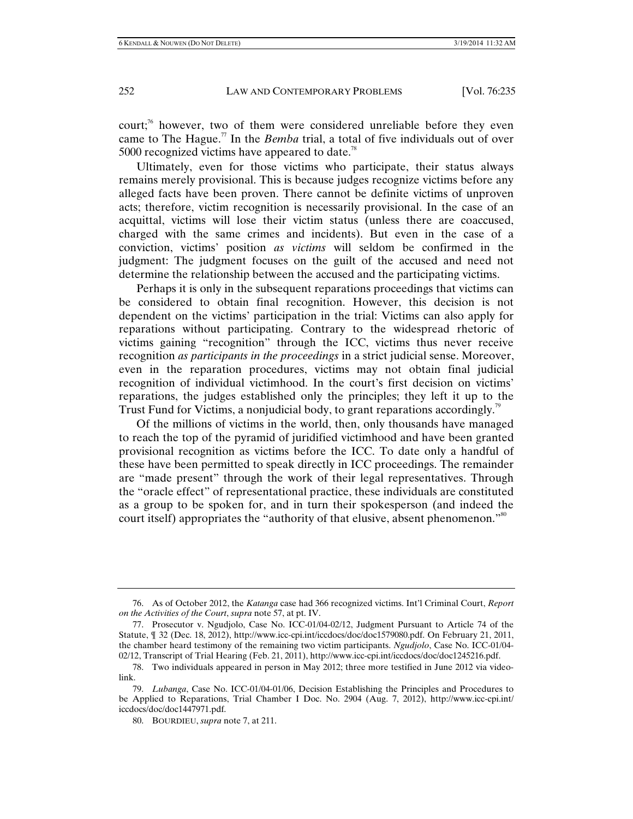court;<sup>76</sup> however, two of them were considered unreliable before they even came to The Hague.<sup>77</sup> In the *Bemba* trial, a total of five individuals out of over 5000 recognized victims have appeared to date.<sup>78</sup>

Ultimately, even for those victims who participate, their status always remains merely provisional. This is because judges recognize victims before any alleged facts have been proven. There cannot be definite victims of unproven acts; therefore, victim recognition is necessarily provisional. In the case of an acquittal, victims will lose their victim status (unless there are coaccused, charged with the same crimes and incidents). But even in the case of a conviction, victims' position *as victims* will seldom be confirmed in the judgment: The judgment focuses on the guilt of the accused and need not determine the relationship between the accused and the participating victims.

Perhaps it is only in the subsequent reparations proceedings that victims can be considered to obtain final recognition. However, this decision is not dependent on the victims' participation in the trial: Victims can also apply for reparations without participating. Contrary to the widespread rhetoric of victims gaining "recognition" through the ICC, victims thus never receive recognition *as participants in the proceedings* in a strict judicial sense. Moreover, even in the reparation procedures, victims may not obtain final judicial recognition of individual victimhood. In the court's first decision on victims' reparations, the judges established only the principles; they left it up to the Trust Fund for Victims, a nonjudicial body, to grant reparations accordingly.<sup>79</sup>

Of the millions of victims in the world, then, only thousands have managed to reach the top of the pyramid of juridified victimhood and have been granted provisional recognition as victims before the ICC. To date only a handful of these have been permitted to speak directly in ICC proceedings. The remainder are "made present" through the work of their legal representatives. Through the "oracle effect" of representational practice, these individuals are constituted as a group to be spoken for, and in turn their spokesperson (and indeed the court itself) appropriates the "authority of that elusive, absent phenomenon."<sup>80</sup>

 <sup>76.</sup> As of October 2012, the *Katanga* case had 366 recognized victims. Int'l Criminal Court, *Report on the Activities of the Court*, *supra* note 57, at pt. IV.

 <sup>77.</sup> Prosecutor v. Ngudjolo, Case No. ICC-01/04-02/12, Judgment Pursuant to Article 74 of the Statute, ¶ 32 (Dec. 18, 2012), http://www.icc-cpi.int/iccdocs/doc/doc1579080.pdf. On February 21, 2011, the chamber heard testimony of the remaining two victim participants. *Ngudjolo*, Case No. ICC-01/04- 02/12, Transcript of Trial Hearing (Feb. 21, 2011), http://www.icc-cpi.int/iccdocs/doc/doc1245216.pdf.

 <sup>78.</sup> Two individuals appeared in person in May 2012; three more testified in June 2012 via videolink.

 <sup>79.</sup> *Lubanga*, Case No. ICC-01/04-01/06, Decision Establishing the Principles and Procedures to be Applied to Reparations, Trial Chamber I Doc. No. 2904 (Aug. 7, 2012), http://www.icc-cpi.int/ iccdocs/doc/doc1447971.pdf.

 <sup>80.</sup> BOURDIEU, *supra* note 7, at 211.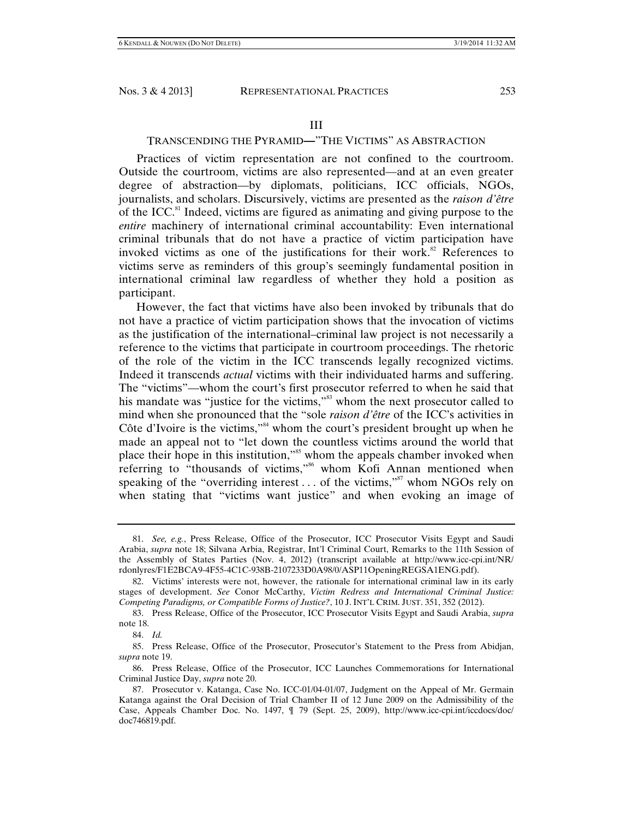# TRANSCENDING THE PYRAMID**—**"THE VICTIMS" AS ABSTRACTION

Practices of victim representation are not confined to the courtroom. Outside the courtroom, victims are also represented—and at an even greater degree of abstraction—by diplomats, politicians, ICC officials, NGOs, journalists, and scholars. Discursively, victims are presented as the *raison d'être* of the ICC.<sup>81</sup> Indeed, victims are figured as animating and giving purpose to the *entire* machinery of international criminal accountability: Even international criminal tribunals that do not have a practice of victim participation have invoked victims as one of the justifications for their work. $82$  References to victims serve as reminders of this group's seemingly fundamental position in international criminal law regardless of whether they hold a position as participant.

However, the fact that victims have also been invoked by tribunals that do not have a practice of victim participation shows that the invocation of victims as the justification of the international–criminal law project is not necessarily a reference to the victims that participate in courtroom proceedings. The rhetoric of the role of the victim in the ICC transcends legally recognized victims. Indeed it transcends *actual* victims with their individuated harms and suffering. The "victims"—whom the court's first prosecutor referred to when he said that his mandate was "justice for the victims,"<sup>83</sup> whom the next prosecutor called to mind when she pronounced that the "sole *raison d'être* of the ICC's activities in Côte d'Ivoire is the victims,"84 whom the court's president brought up when he made an appeal not to "let down the countless victims around the world that place their hope in this institution,"<sup>85</sup> whom the appeals chamber invoked when referring to "thousands of victims,"<sup>86</sup> whom Kofi Annan mentioned when speaking of the "overriding interest . . . of the victims,"<sup>87</sup> whom NGOs rely on when stating that "victims want justice" and when evoking an image of

 <sup>81.</sup> *See, e.g.*, Press Release, Office of the Prosecutor, ICC Prosecutor Visits Egypt and Saudi Arabia, *supra* note 18; Silvana Arbia, Registrar, Int'l Criminal Court, Remarks to the 11th Session of the Assembly of States Parties (Nov. 4, 2012) (transcript available at http://www.icc-cpi.int/NR/ rdonlyres/F1E2BCA9-4F55-4C1C-938B-2107233D0A98/0/ASP11OpeningREGSA1ENG.pdf).

 <sup>82.</sup> Victims' interests were not, however, the rationale for international criminal law in its early stages of development. *See* Conor McCarthy, *Victim Redress and International Criminal Justice: Competing Paradigms, or Compatible Forms of Justice?*, 10 J. INT'L CRIM. JUST. 351, 352 (2012).

 <sup>83.</sup> Press Release, Office of the Prosecutor, ICC Prosecutor Visits Egypt and Saudi Arabia, *supra* note 18.

 <sup>84.</sup> *Id.*

 <sup>85.</sup> Press Release, Office of the Prosecutor, Prosecutor's Statement to the Press from Abidjan, *supra* note 19.

 <sup>86.</sup> Press Release, Office of the Prosecutor, ICC Launches Commemorations for International Criminal Justice Day, *supra* note 20.

 <sup>87.</sup> Prosecutor v. Katanga, Case No. ICC-01/04-01/07, Judgment on the Appeal of Mr. Germain Katanga against the Oral Decision of Trial Chamber II of 12 June 2009 on the Admissibility of the Case, Appeals Chamber Doc. No. 1497, ¶ 79 (Sept. 25, 2009), http://www.icc-cpi.int/iccdocs/doc/ doc746819.pdf.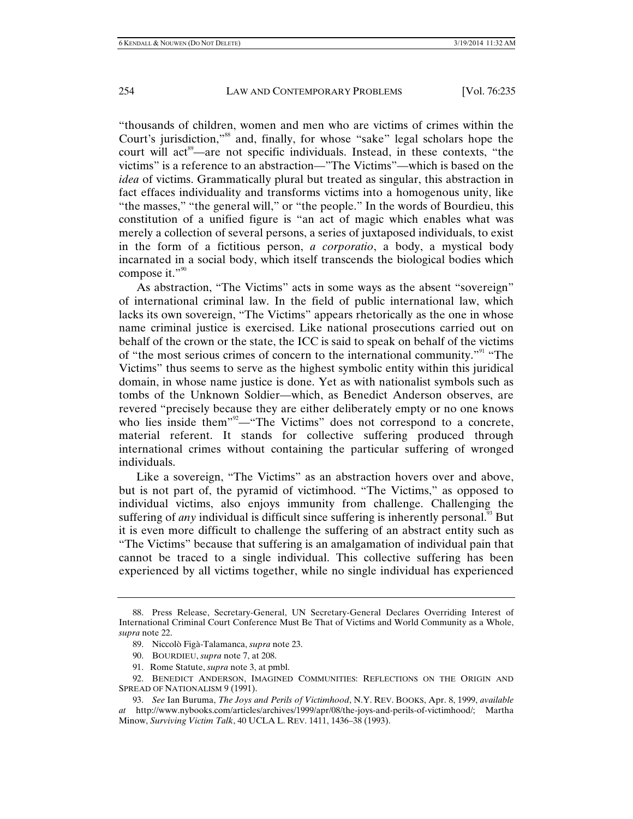"thousands of children, women and men who are victims of crimes within the Court's jurisdiction,"<sup>88</sup> and, finally, for whose "sake" legal scholars hope the court will act<sup>89</sup>—are not specific individuals. Instead, in these contexts, "the victims" is a reference to an abstraction—"The Victims"—which is based on the *idea* of victims. Grammatically plural but treated as singular, this abstraction in fact effaces individuality and transforms victims into a homogenous unity, like "the masses," "the general will," or "the people." In the words of Bourdieu, this constitution of a unified figure is "an act of magic which enables what was merely a collection of several persons, a series of juxtaposed individuals, to exist in the form of a fictitious person, *a corporatio*, a body, a mystical body incarnated in a social body, which itself transcends the biological bodies which compose it."<sup>90</sup>

As abstraction, "The Victims" acts in some ways as the absent "sovereign" of international criminal law. In the field of public international law, which lacks its own sovereign, "The Victims" appears rhetorically as the one in whose name criminal justice is exercised. Like national prosecutions carried out on behalf of the crown or the state, the ICC is said to speak on behalf of the victims of "the most serious crimes of concern to the international community."<sup>91</sup> "The Victims" thus seems to serve as the highest symbolic entity within this juridical domain, in whose name justice is done. Yet as with nationalist symbols such as tombs of the Unknown Soldier—which, as Benedict Anderson observes, are revered "precisely because they are either deliberately empty or no one knows who lies inside them<sup>"92</sup>—"The Victims" does not correspond to a concrete, material referent. It stands for collective suffering produced through international crimes without containing the particular suffering of wronged individuals.

Like a sovereign, "The Victims" as an abstraction hovers over and above, but is not part of, the pyramid of victimhood. "The Victims," as opposed to individual victims, also enjoys immunity from challenge. Challenging the suffering of *any* individual is difficult since suffering is inherently personal.<sup>93</sup> But it is even more difficult to challenge the suffering of an abstract entity such as "The Victims" because that suffering is an amalgamation of individual pain that cannot be traced to a single individual. This collective suffering has been experienced by all victims together, while no single individual has experienced

89. Niccolò Figà-Talamanca, *supra* note 23.

 <sup>88.</sup> Press Release, Secretary-General, UN Secretary-General Declares Overriding Interest of International Criminal Court Conference Must Be That of Victims and World Community as a Whole, *supra* note 22.

 <sup>90.</sup> BOURDIEU, *supra* note 7, at 208.

 <sup>91.</sup> Rome Statute, *supra* note 3, at pmbl.

 <sup>92.</sup> BENEDICT ANDERSON, IMAGINED COMMUNITIES: REFLECTIONS ON THE ORIGIN AND SPREAD OF NATIONALISM 9 (1991).

 <sup>93.</sup> *See* Ian Buruma, *The Joys and Perils of Victimhood*, N.Y. REV. BOOKS, Apr. 8, 1999, *available at* http://www.nybooks.com/articles/archives/1999/apr/08/the-joys-and-perils-of-victimhood/; Martha Minow, *Surviving Victim Talk*, 40 UCLA L. REV. 1411, 1436–38 (1993).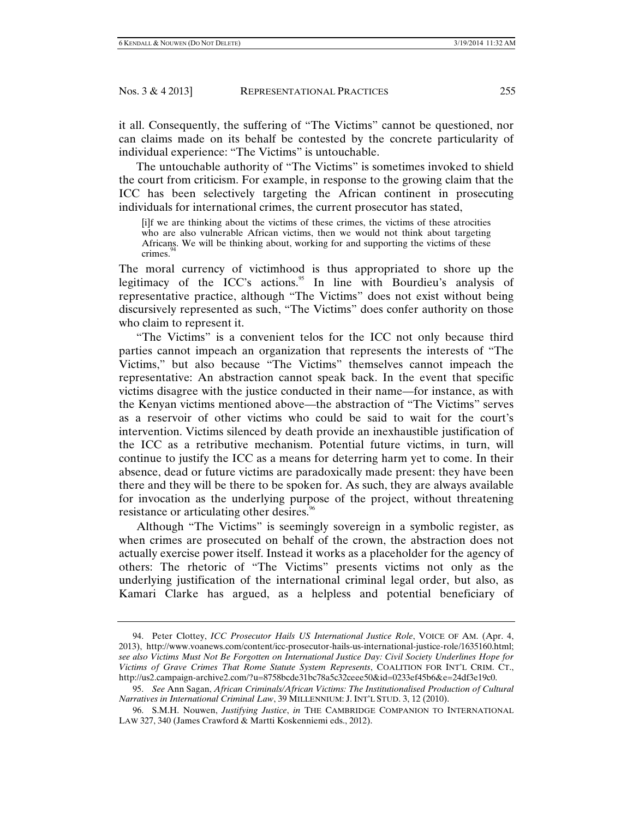it all. Consequently, the suffering of "The Victims" cannot be questioned, nor can claims made on its behalf be contested by the concrete particularity of individual experience: "The Victims" is untouchable.

The untouchable authority of "The Victims" is sometimes invoked to shield the court from criticism. For example, in response to the growing claim that the ICC has been selectively targeting the African continent in prosecuting individuals for international crimes, the current prosecutor has stated,

[i]f we are thinking about the victims of these crimes, the victims of these atrocities who are also vulnerable African victims, then we would not think about targeting Africans. We will be thinking about, working for and supporting the victims of these crimes.

The moral currency of victimhood is thus appropriated to shore up the legitimacy of the ICC's actions.<sup>95</sup> In line with Bourdieu's analysis of representative practice, although "The Victims" does not exist without being discursively represented as such, "The Victims" does confer authority on those who claim to represent it.

"The Victims" is a convenient telos for the ICC not only because third parties cannot impeach an organization that represents the interests of "The Victims," but also because "The Victims" themselves cannot impeach the representative: An abstraction cannot speak back. In the event that specific victims disagree with the justice conducted in their name—for instance, as with the Kenyan victims mentioned above—the abstraction of "The Victims" serves as a reservoir of other victims who could be said to wait for the court's intervention. Victims silenced by death provide an inexhaustible justification of the ICC as a retributive mechanism. Potential future victims, in turn, will continue to justify the ICC as a means for deterring harm yet to come. In their absence, dead or future victims are paradoxically made present: they have been there and they will be there to be spoken for. As such, they are always available for invocation as the underlying purpose of the project, without threatening resistance or articulating other desires.<sup>96</sup>

Although "The Victims" is seemingly sovereign in a symbolic register, as when crimes are prosecuted on behalf of the crown, the abstraction does not actually exercise power itself. Instead it works as a placeholder for the agency of others: The rhetoric of "The Victims" presents victims not only as the underlying justification of the international criminal legal order, but also, as Kamari Clarke has argued, as a helpless and potential beneficiary of

 <sup>94.</sup> Peter Clottey, *ICC Prosecutor Hails US International Justice Role*, VOICE OF AM. (Apr. 4, 2013), http://www.voanews.com/content/icc-prosecutor-hails-us-international-justice-role/1635160.html; *see also Victims Must Not Be Forgotten on International Justice Day: Civil Society Underlines Hope for Victims of Grave Crimes That Rome Statute System Represents*, COALITION FOR INT'L CRIM. CT., http://us2.campaign-archive2.com/?u=8758bcde31bc78a5c32ceee50&id=0233ef45b6&e=24df3e19c0.

 <sup>95.</sup> *See* Ann Sagan, *African Criminals/African Victims: The Institutionalised Production of Cultural Narratives in International Criminal Law*, 39 MILLENNIUM: J. INT'L STUD. 3, 12 (2010).

 <sup>96.</sup> S.M.H. Nouwen, *Justifying Justice*, *in* THE CAMBRIDGE COMPANION TO INTERNATIONAL LAW 327, 340 (James Crawford & Martti Koskenniemi eds., 2012).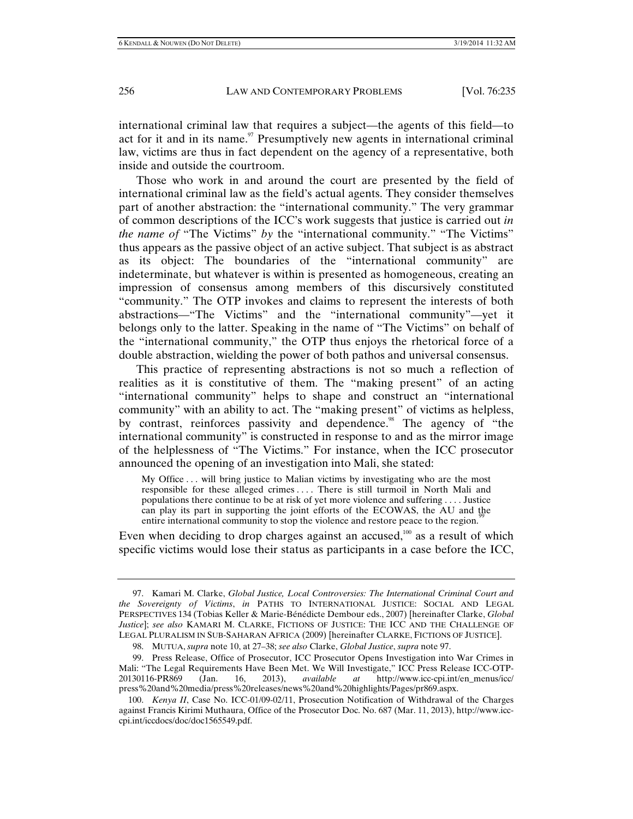international criminal law that requires a subject—the agents of this field—to act for it and in its name. $\frac{97}{7}$  Presumptively new agents in international criminal law, victims are thus in fact dependent on the agency of a representative, both inside and outside the courtroom.

Those who work in and around the court are presented by the field of international criminal law as the field's actual agents. They consider themselves part of another abstraction: the "international community." The very grammar of common descriptions of the ICC's work suggests that justice is carried out *in the name of* "The Victims" *by* the "international community." "The Victims" thus appears as the passive object of an active subject. That subject is as abstract as its object: The boundaries of the "international community" are indeterminate, but whatever is within is presented as homogeneous, creating an impression of consensus among members of this discursively constituted "community." The OTP invokes and claims to represent the interests of both abstractions—"The Victims" and the "international community"—yet it belongs only to the latter. Speaking in the name of "The Victims" on behalf of the "international community," the OTP thus enjoys the rhetorical force of a double abstraction, wielding the power of both pathos and universal consensus.

This practice of representing abstractions is not so much a reflection of realities as it is constitutive of them. The "making present" of an acting "international community" helps to shape and construct an "international community" with an ability to act. The "making present" of victims as helpless, by contrast, reinforces passivity and dependence.<sup>98</sup> The agency of "the international community" is constructed in response to and as the mirror image of the helplessness of "The Victims." For instance, when the ICC prosecutor announced the opening of an investigation into Mali, she stated:

My Office . . . will bring justice to Malian victims by investigating who are the most responsible for these alleged crimes .... There is still turmoil in North Mali and populations there continue to be at risk of yet more violence and suffering . . . . Justice can play its part in supporting the joint efforts of the ECOWAS, the AU and the entire international community to stop the violence and restore peace to the region.<sup>9</sup>

Even when deciding to drop charges against an accused, $100$  as a result of which specific victims would lose their status as participants in a case before the ICC,

 <sup>97.</sup> Kamari M. Clarke, *Global Justice, Local Controversies: The International Criminal Court and the Sovereignty of Victims*, *in* PATHS TO INTERNATIONAL JUSTICE: SOCIAL AND LEGAL PERSPECTIVES 134 (Tobias Keller & Marie-Bénédicte Dembour eds., 2007) [hereinafter Clarke, *Global Justice*]; *see also* KAMARI M. CLARKE, FICTIONS OF JUSTICE: THE ICC AND THE CHALLENGE OF LEGAL PLURALISM IN SUB-SAHARAN AFRICA (2009) [hereinafter CLARKE, FICTIONS OF JUSTICE].

 <sup>98.</sup> MUTUA, *supra* note 10, at 27–38; *see also* Clarke, *Global Justice*, *supra* note 97.

 <sup>99.</sup> Press Release, Office of Prosecutor, ICC Prosecutor Opens Investigation into War Crimes in Mali: "The Legal Requirements Have Been Met. We Will Investigate," ICC Press Release ICC-OTP-20130116-PR869 (Jan. 16, 2013), *available at* http://www.icc-cpi.int/en\_menus/icc/ press%20and%20media/press%20releases/news%20and%20highlights/Pages/pr869.aspx.

 <sup>100.</sup> *Kenya II*, Case No. ICC-01/09-02/11, Prosecution Notification of Withdrawal of the Charges against Francis Kirimi Muthaura, Office of the Prosecutor Doc. No. 687 (Mar. 11, 2013), http://www.icccpi.int/iccdocs/doc/doc1565549.pdf.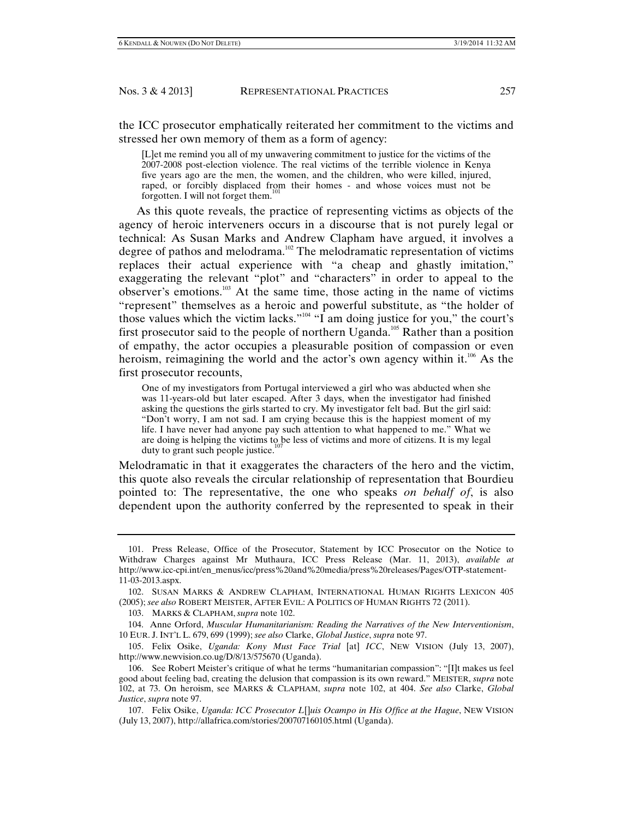the ICC prosecutor emphatically reiterated her commitment to the victims and stressed her own memory of them as a form of agency:

[L]et me remind you all of my unwavering commitment to justice for the victims of the 2007-2008 post-election violence. The real victims of the terrible violence in Kenya five years ago are the men, the women, and the children, who were killed, injured, raped, or forcibly displaced from their homes - and whose voices must not be forgotten. I will not forget them.<sup>1</sup>

As this quote reveals, the practice of representing victims as objects of the agency of heroic interveners occurs in a discourse that is not purely legal or technical: As Susan Marks and Andrew Clapham have argued, it involves a degree of pathos and melodrama.<sup>102</sup> The melodramatic representation of victims replaces their actual experience with "a cheap and ghastly imitation," exaggerating the relevant "plot" and "characters" in order to appeal to the observer's emotions.103 At the same time, those acting in the name of victims "represent" themselves as a heroic and powerful substitute, as "the holder of those values which the victim lacks."<sup>104</sup> "I am doing justice for you," the court's first prosecutor said to the people of northern Uganda.<sup>105</sup> Rather than a position of empathy, the actor occupies a pleasurable position of compassion or even heroism, reimagining the world and the actor's own agency within it.<sup>106</sup> As the first prosecutor recounts,

One of my investigators from Portugal interviewed a girl who was abducted when she was 11-years-old but later escaped. After 3 days, when the investigator had finished asking the questions the girls started to cry. My investigator felt bad. But the girl said: "Don't worry, I am not sad. I am crying because this is the happiest moment of my life. I have never had anyone pay such attention to what happened to me." What we are doing is helping the victims to be less of victims and more of citizens. It is my legal duty to grant such people justice.<sup>1</sup>

Melodramatic in that it exaggerates the characters of the hero and the victim, this quote also reveals the circular relationship of representation that Bourdieu pointed to: The representative, the one who speaks *on behalf of*, is also dependent upon the authority conferred by the represented to speak in their

 <sup>101.</sup> Press Release, Office of the Prosecutor, Statement by ICC Prosecutor on the Notice to Withdraw Charges against Mr Muthaura, ICC Press Release (Mar. 11, 2013), *available at* http://www.icc-cpi.int/en\_menus/icc/press%20and%20media/press%20releases/Pages/OTP-statement-11-03-2013.aspx.

 <sup>102.</sup> SUSAN MARKS & ANDREW CLAPHAM, INTERNATIONAL HUMAN RIGHTS LEXICON 405 (2005); *see also* ROBERT MEISTER, AFTER EVIL: A POLITICS OF HUMAN RIGHTS 72 (2011).

 <sup>103.</sup> MARKS & CLAPHAM, *supra* note 102.

 <sup>104.</sup> Anne Orford, *Muscular Humanitarianism: Reading the Narratives of the New Interventionism*, 10 EUR. J. INT'L L. 679, 699 (1999); *see also* Clarke, *Global Justice*, *supra* note 97.

 <sup>105.</sup> Felix Osike, *Uganda: Kony Must Face Trial* [at] *ICC*, NEW VISION (July 13, 2007), http://www.newvision.co.ug/D/8/13/575670 (Uganda).

 <sup>106.</sup> See Robert Meister's critique of what he terms "humanitarian compassion": "[I]t makes us feel good about feeling bad, creating the delusion that compassion is its own reward." MEISTER, *supra* note 102, at 73. On heroism, see MARKS & CLAPHAM, *supra* note 102, at 404. *See also* Clarke, *Global Justice*, *supra* note 97.

 <sup>107.</sup> Felix Osike, *Uganda: ICC Prosecutor L*[]*uis Ocampo in His Office at the Hague*, NEW VISION (July 13, 2007), http://allafrica.com/stories/200707160105.html (Uganda).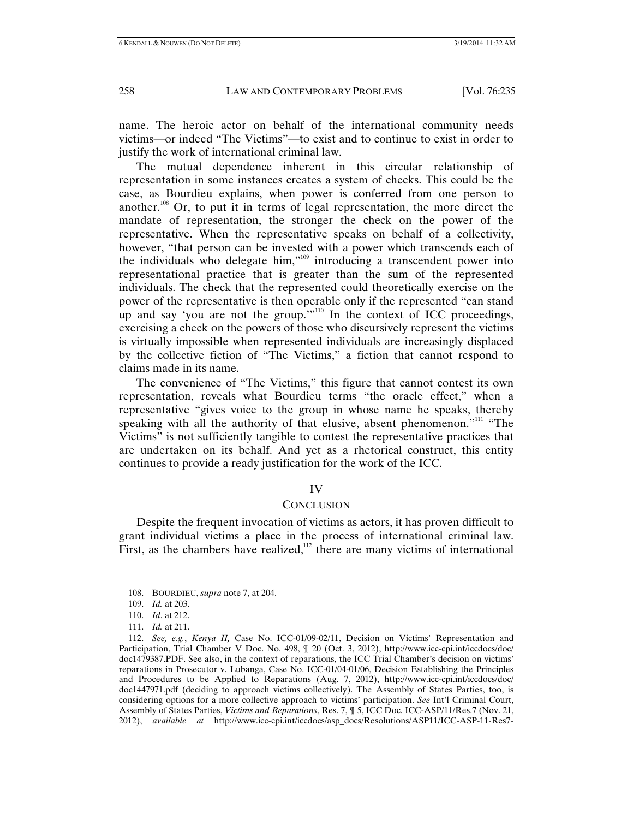name. The heroic actor on behalf of the international community needs victims—or indeed "The Victims"—to exist and to continue to exist in order to justify the work of international criminal law.

The mutual dependence inherent in this circular relationship of representation in some instances creates a system of checks. This could be the case, as Bourdieu explains, when power is conferred from one person to another.<sup>108</sup> Or, to put it in terms of legal representation, the more direct the mandate of representation, the stronger the check on the power of the representative. When the representative speaks on behalf of a collectivity, however, "that person can be invested with a power which transcends each of the individuals who delegate him,"109 introducing a transcendent power into representational practice that is greater than the sum of the represented individuals. The check that the represented could theoretically exercise on the power of the representative is then operable only if the represented "can stand up and say 'you are not the group."<sup> $110$ </sup> In the context of ICC proceedings, exercising a check on the powers of those who discursively represent the victims is virtually impossible when represented individuals are increasingly displaced by the collective fiction of "The Victims," a fiction that cannot respond to claims made in its name.

The convenience of "The Victims," this figure that cannot contest its own representation, reveals what Bourdieu terms "the oracle effect," when a representative "gives voice to the group in whose name he speaks, thereby speaking with all the authority of that elusive, absent phenomenon."<sup>111</sup> "The Victims" is not sufficiently tangible to contest the representative practices that are undertaken on its behalf. And yet as a rhetorical construct, this entity continues to provide a ready justification for the work of the ICC.

#### IV

## **CONCLUSION**

Despite the frequent invocation of victims as actors, it has proven difficult to grant individual victims a place in the process of international criminal law. First, as the chambers have realized,<sup>112</sup> there are many victims of international

 <sup>108.</sup> BOURDIEU, *supra* note 7, at 204.

 <sup>109.</sup> *Id.* at 203.

 <sup>110.</sup> *Id*. at 212.

 <sup>111.</sup> *Id.* at 211.

 <sup>112.</sup> *See, e.g.*, *Kenya II,* Case No. ICC-01/09-02/11, Decision on Victims' Representation and Participation, Trial Chamber V Doc. No. 498, ¶ 20 (Oct. 3, 2012), http://www.icc-cpi.int/iccdocs/doc/ doc1479387.PDF. See also, in the context of reparations, the ICC Trial Chamber's decision on victims' reparations in Prosecutor v. Lubanga, Case No. ICC-01/04-01/06, Decision Establishing the Principles and Procedures to be Applied to Reparations (Aug. 7, 2012), http://www.icc-cpi.int/iccdocs/doc/ doc1447971.pdf (deciding to approach victims collectively). The Assembly of States Parties, too, is considering options for a more collective approach to victims' participation. *See* Int'l Criminal Court, Assembly of States Parties, *Victims and Reparations*, Res. 7, ¶ 5, ICC Doc. ICC-ASP/11/Res.7 (Nov. 21, 2012), *available at* http://www.icc-cpi.int/iccdocs/asp\_docs/Resolutions/ASP11/ICC-ASP-11-Res7-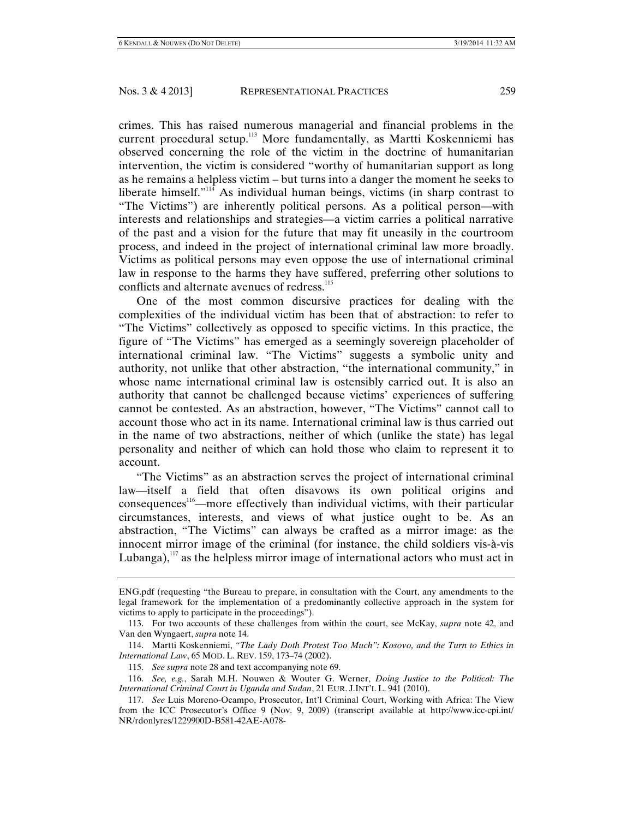crimes. This has raised numerous managerial and financial problems in the current procedural setup.<sup>113</sup> More fundamentally, as Martti Koskenniemi has observed concerning the role of the victim in the doctrine of humanitarian intervention, the victim is considered "worthy of humanitarian support as long as he remains a helpless victim – but turns into a danger the moment he seeks to liberate himself."<sup>114</sup> As individual human beings, victims (in sharp contrast to "The Victims") are inherently political persons. As a political person—with interests and relationships and strategies—a victim carries a political narrative of the past and a vision for the future that may fit uneasily in the courtroom process, and indeed in the project of international criminal law more broadly. Victims as political persons may even oppose the use of international criminal law in response to the harms they have suffered, preferring other solutions to conflicts and alternate avenues of redress.<sup>115</sup>

One of the most common discursive practices for dealing with the complexities of the individual victim has been that of abstraction: to refer to "The Victims" collectively as opposed to specific victims. In this practice, the figure of "The Victims" has emerged as a seemingly sovereign placeholder of international criminal law. "The Victims" suggests a symbolic unity and authority, not unlike that other abstraction, "the international community," in whose name international criminal law is ostensibly carried out. It is also an authority that cannot be challenged because victims' experiences of suffering cannot be contested. As an abstraction, however, "The Victims" cannot call to account those who act in its name. International criminal law is thus carried out in the name of two abstractions, neither of which (unlike the state) has legal personality and neither of which can hold those who claim to represent it to account.

"The Victims" as an abstraction serves the project of international criminal law—itself a field that often disavows its own political origins and  $consequences<sup>116</sup>$ —more effectively than individual victims, with their particular circumstances, interests, and views of what justice ought to be. As an abstraction, "The Victims" can always be crafted as a mirror image: as the innocent mirror image of the criminal (for instance, the child soldiers vis-à-vis Lubanga), $^{117}$  as the helpless mirror image of international actors who must act in

ENG.pdf (requesting "the Bureau to prepare, in consultation with the Court, any amendments to the legal framework for the implementation of a predominantly collective approach in the system for victims to apply to participate in the proceedings").

 <sup>113.</sup> For two accounts of these challenges from within the court, see McKay, *supra* note 42, and Van den Wyngaert, *supra* note 14.

 <sup>114.</sup> Martti Koskenniemi, *"The Lady Doth Protest Too Much": Kosovo, and the Turn to Ethics in International Law*, 65 MOD. L. REV. 159, 173–74 (2002).

 <sup>115.</sup> *See supra* note 28 and text accompanying note 69.

 <sup>116.</sup> *See, e.g.*, Sarah M.H. Nouwen & Wouter G. Werner, *Doing Justice to the Political: The International Criminal Court in Uganda and Sudan*, 21 EUR. J.INT'L L. 941 (2010).

 <sup>117.</sup> *See* Luis Moreno-Ocampo, Prosecutor, Int'l Criminal Court, Working with Africa: The View from the ICC Prosecutor's Office 9 (Nov. 9, 2009) (transcript available at http://www.icc-cpi.int/ NR/rdonlyres/1229900D-B581-42AE-A078-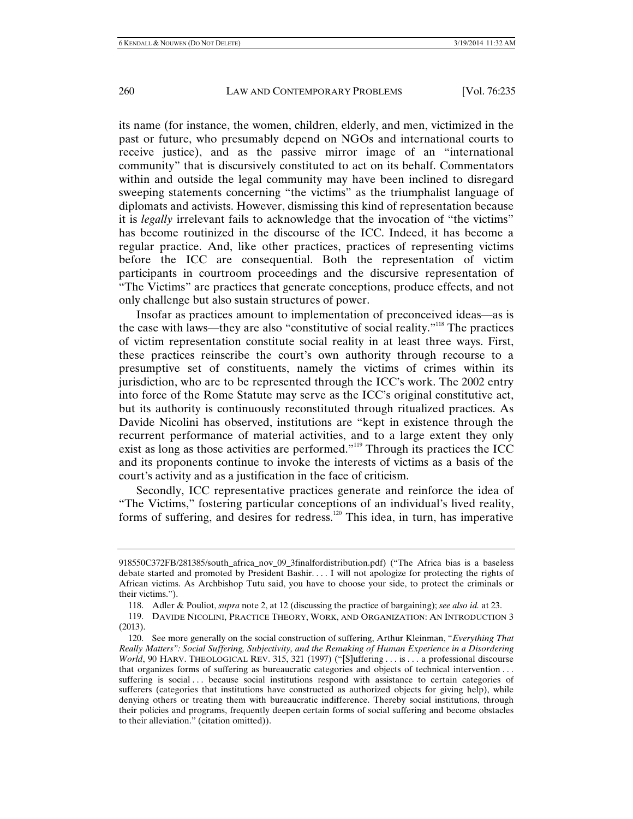its name (for instance, the women, children, elderly, and men, victimized in the past or future, who presumably depend on NGOs and international courts to receive justice), and as the passive mirror image of an "international community" that is discursively constituted to act on its behalf. Commentators within and outside the legal community may have been inclined to disregard sweeping statements concerning "the victims" as the triumphalist language of diplomats and activists. However, dismissing this kind of representation because it is *legally* irrelevant fails to acknowledge that the invocation of "the victims" has become routinized in the discourse of the ICC. Indeed, it has become a regular practice. And, like other practices, practices of representing victims before the ICC are consequential. Both the representation of victim participants in courtroom proceedings and the discursive representation of "The Victims" are practices that generate conceptions, produce effects, and not only challenge but also sustain structures of power.

Insofar as practices amount to implementation of preconceived ideas—as is the case with laws—they are also "constitutive of social reality."118 The practices of victim representation constitute social reality in at least three ways. First, these practices reinscribe the court's own authority through recourse to a presumptive set of constituents, namely the victims of crimes within its jurisdiction, who are to be represented through the ICC's work. The 2002 entry into force of the Rome Statute may serve as the ICC's original constitutive act, but its authority is continuously reconstituted through ritualized practices. As Davide Nicolini has observed, institutions are "kept in existence through the recurrent performance of material activities, and to a large extent they only exist as long as those activities are performed."<sup>119</sup> Through its practices the ICC and its proponents continue to invoke the interests of victims as a basis of the court's activity and as a justification in the face of criticism.

Secondly, ICC representative practices generate and reinforce the idea of "The Victims," fostering particular conceptions of an individual's lived reality, forms of suffering, and desires for redress.120 This idea, in turn, has imperative

<sup>918550</sup>C372FB/281385/south\_africa\_nov\_09\_3finalfordistribution.pdf) ("The Africa bias is a baseless debate started and promoted by President Bashir. . . . I will not apologize for protecting the rights of African victims. As Archbishop Tutu said, you have to choose your side, to protect the criminals or their victims.").

 <sup>118.</sup> Adler & Pouliot, *supra* note 2, at 12 (discussing the practice of bargaining); *see also id.* at 23.

 <sup>119.</sup> DAVIDE NICOLINI, PRACTICE THEORY, WORK, AND ORGANIZATION: AN INTRODUCTION 3 (2013).

 <sup>120.</sup> See more generally on the social construction of suffering, Arthur Kleinman, "*Everything That Really Matters": Social Suffering, Subjectivity, and the Remaking of Human Experience in a Disordering World*, 90 HARV. THEOLOGICAL REV. 315, 321 (1997) ("[S]uffering ... is ... a professional discourse that organizes forms of suffering as bureaucratic categories and objects of technical intervention . . . suffering is social ... because social institutions respond with assistance to certain categories of sufferers (categories that institutions have constructed as authorized objects for giving help), while denying others or treating them with bureaucratic indifference. Thereby social institutions, through their policies and programs, frequently deepen certain forms of social suffering and become obstacles to their alleviation." (citation omitted)).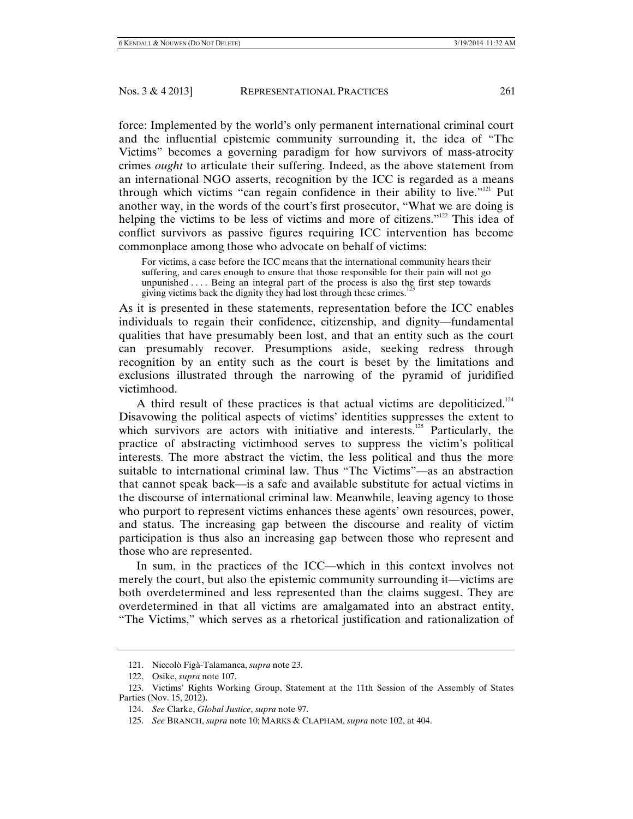force: Implemented by the world's only permanent international criminal court and the influential epistemic community surrounding it, the idea of "The Victims" becomes a governing paradigm for how survivors of mass-atrocity crimes *ought* to articulate their suffering. Indeed, as the above statement from an international NGO asserts, recognition by the ICC is regarded as a means through which victims "can regain confidence in their ability to live."<sup>121</sup> Put another way, in the words of the court's first prosecutor, "What we are doing is helping the victims to be less of victims and more of citizens."<sup>122</sup> This idea of conflict survivors as passive figures requiring ICC intervention has become commonplace among those who advocate on behalf of victims:

For victims, a case before the ICC means that the international community hears their suffering, and cares enough to ensure that those responsible for their pain will not go unpunished .... Being an integral part of the process is also the first step towards giving victims back the dignity they had lost through these crimes.<sup>1</sup>

As it is presented in these statements, representation before the ICC enables individuals to regain their confidence, citizenship, and dignity—fundamental qualities that have presumably been lost, and that an entity such as the court can presumably recover. Presumptions aside, seeking redress through recognition by an entity such as the court is beset by the limitations and exclusions illustrated through the narrowing of the pyramid of juridified victimhood.

A third result of these practices is that actual victims are depoliticized.<sup>124</sup> Disavowing the political aspects of victims' identities suppresses the extent to which survivors are actors with initiative and interests.<sup>125</sup> Particularly, the practice of abstracting victimhood serves to suppress the victim's political interests. The more abstract the victim, the less political and thus the more suitable to international criminal law. Thus "The Victims"—as an abstraction that cannot speak back—is a safe and available substitute for actual victims in the discourse of international criminal law. Meanwhile, leaving agency to those who purport to represent victims enhances these agents' own resources, power, and status. The increasing gap between the discourse and reality of victim participation is thus also an increasing gap between those who represent and those who are represented.

In sum, in the practices of the ICC—which in this context involves not merely the court, but also the epistemic community surrounding it—victims are both overdetermined and less represented than the claims suggest. They are overdetermined in that all victims are amalgamated into an abstract entity, "The Victims," which serves as a rhetorical justification and rationalization of

 <sup>121.</sup> Niccolò Figà-Talamanca, *supra* note 23.

 <sup>122.</sup> Osike, *supra* note 107.

 <sup>123.</sup> Victims' Rights Working Group, Statement at the 11th Session of the Assembly of States Parties (Nov. 15, 2012).

 <sup>124.</sup> *See* Clarke, *Global Justice*, *supra* note 97.

 <sup>125.</sup> *See* BRANCH, *supra* note 10; MARKS & CLAPHAM, *supra* note 102, at 404.